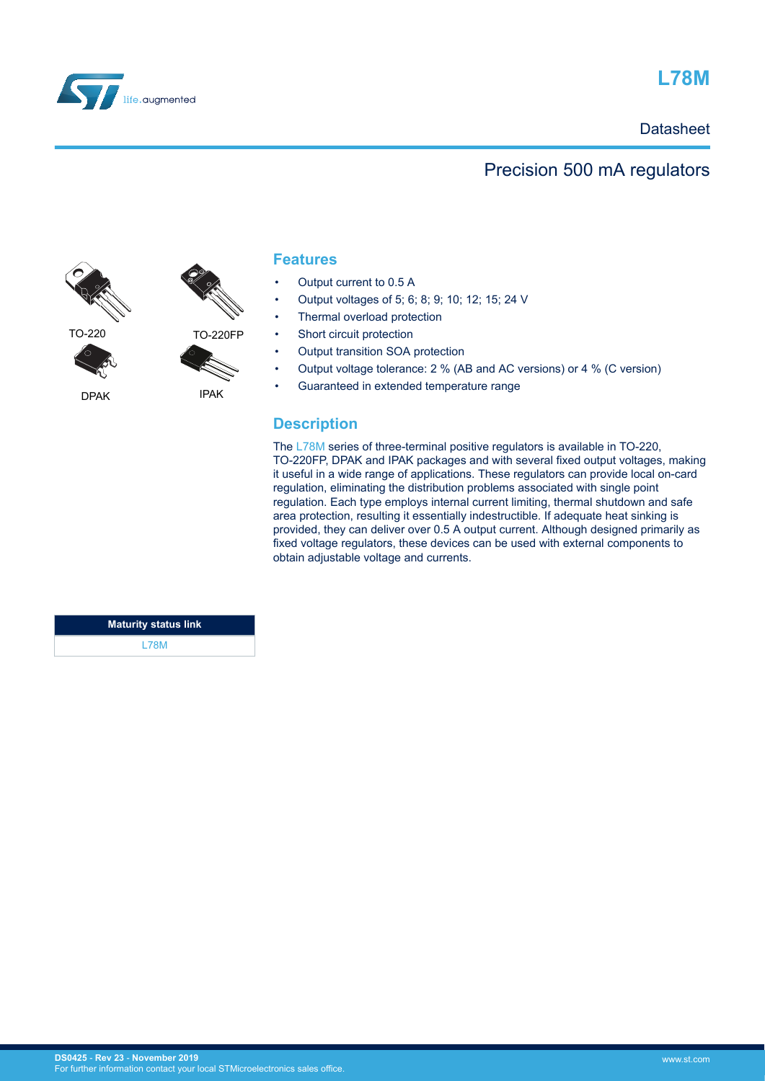

## **L78M**

## **Datasheet**

## Precision 500 mA regulators



DPAK



## **Features**

- Output current to 0.5 A
- Output voltages of 5; 6; 8; 9; 10; 12; 15; 24 V
- Thermal overload protection
- Short circuit protection
- Output transition SOA protection
- Output voltage tolerance: 2 % (AB and AC versions) or 4 % (C version)
- Guaranteed in extended temperature range

## **Description**

The [L78M](https://www.st.com/en/product/L78M?ecmp=tt9470_gl_link_feb2019&rt=ds&id=DS0425) series of three-terminal positive regulators is available in TO-220, TO-220FP, DPAK and IPAK packages and with several fixed output voltages, making it useful in a wide range of applications. These regulators can provide local on-card regulation, eliminating the distribution problems associated with single point regulation. Each type employs internal current limiting, thermal shutdown and safe area protection, resulting it essentially indestructible. If adequate heat sinking is provided, they can deliver over 0.5 A output current. Although designed primarily as fixed voltage regulators, these devices can be used with external components to obtain adjustable voltage and currents.

| <b>Maturity status link</b> |  |
|-----------------------------|--|
| L78M                        |  |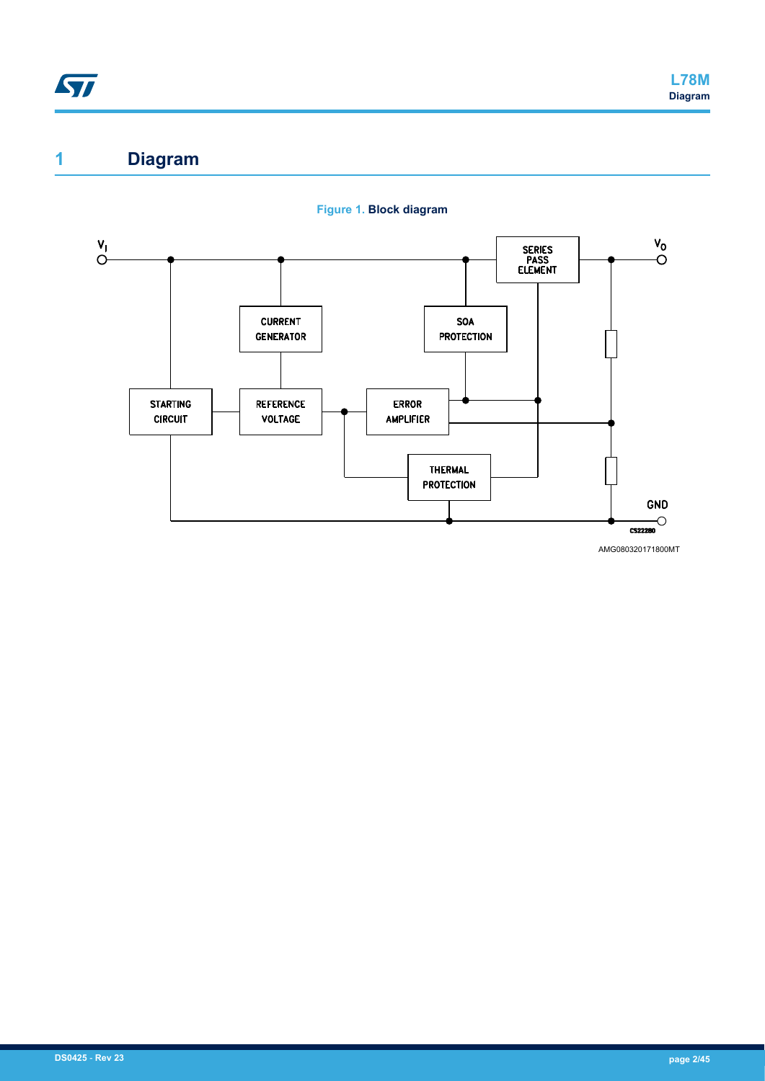## **1 Diagram**



**Figure 1. Block diagram**

AMG080320171800MT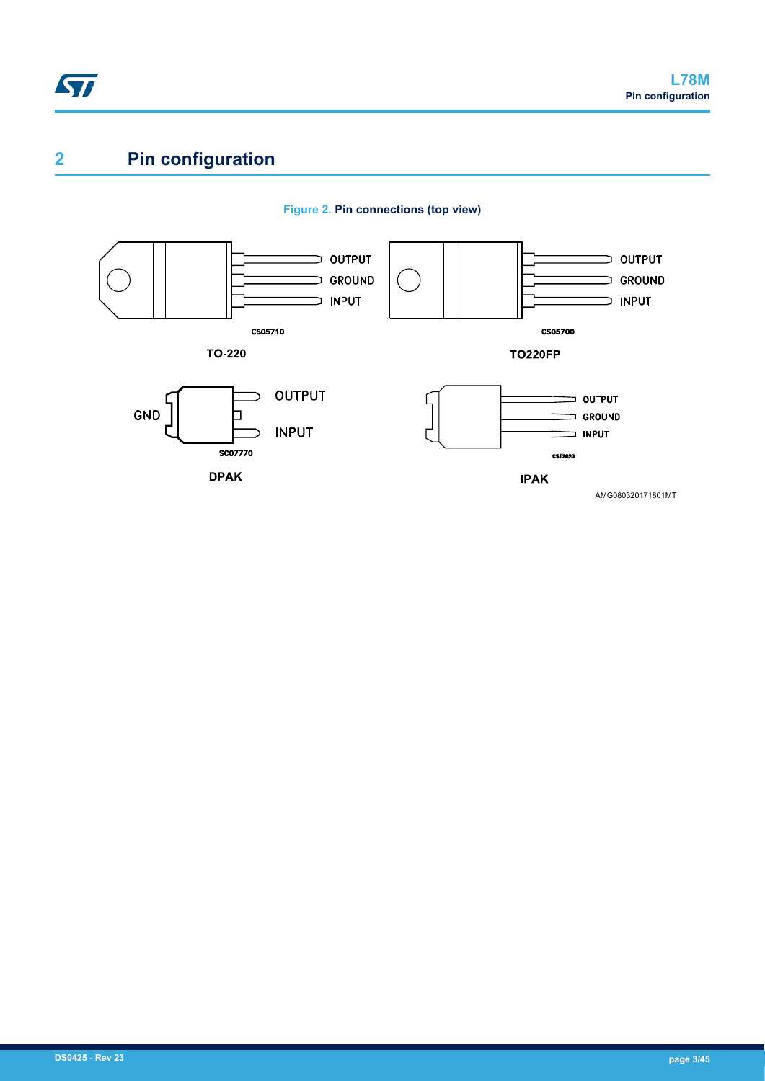

# **2 Pin configuration**



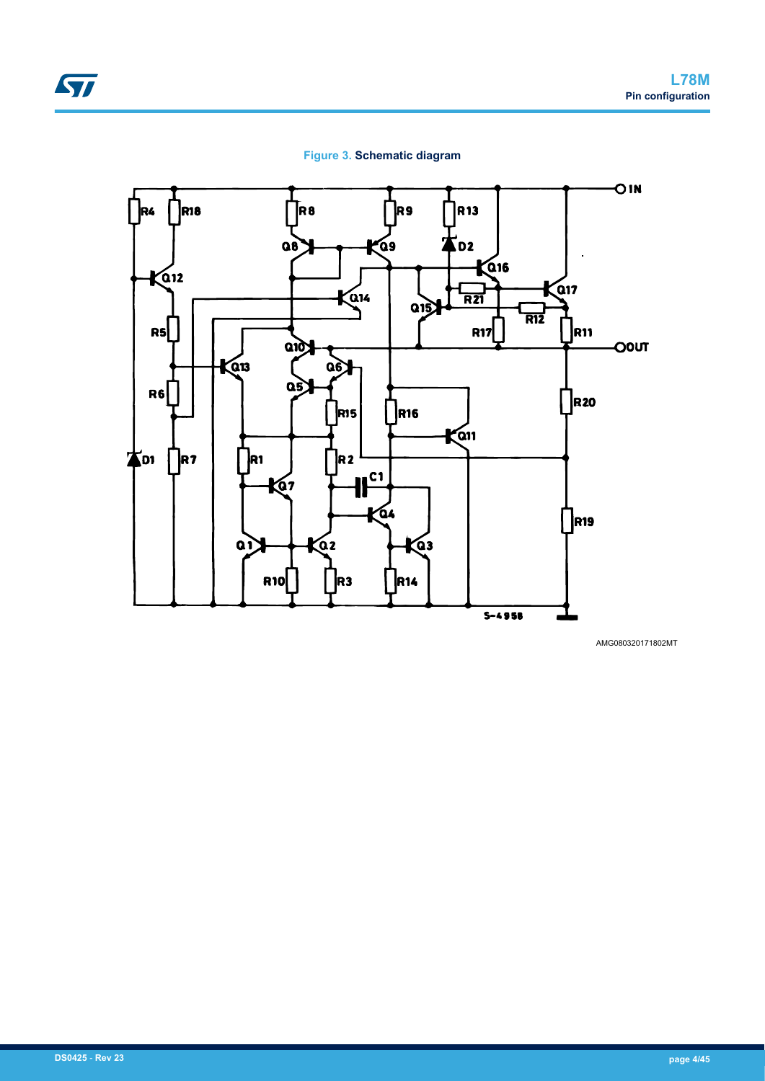

#### **Figure 3. Schematic diagram**



AMG080320171802MT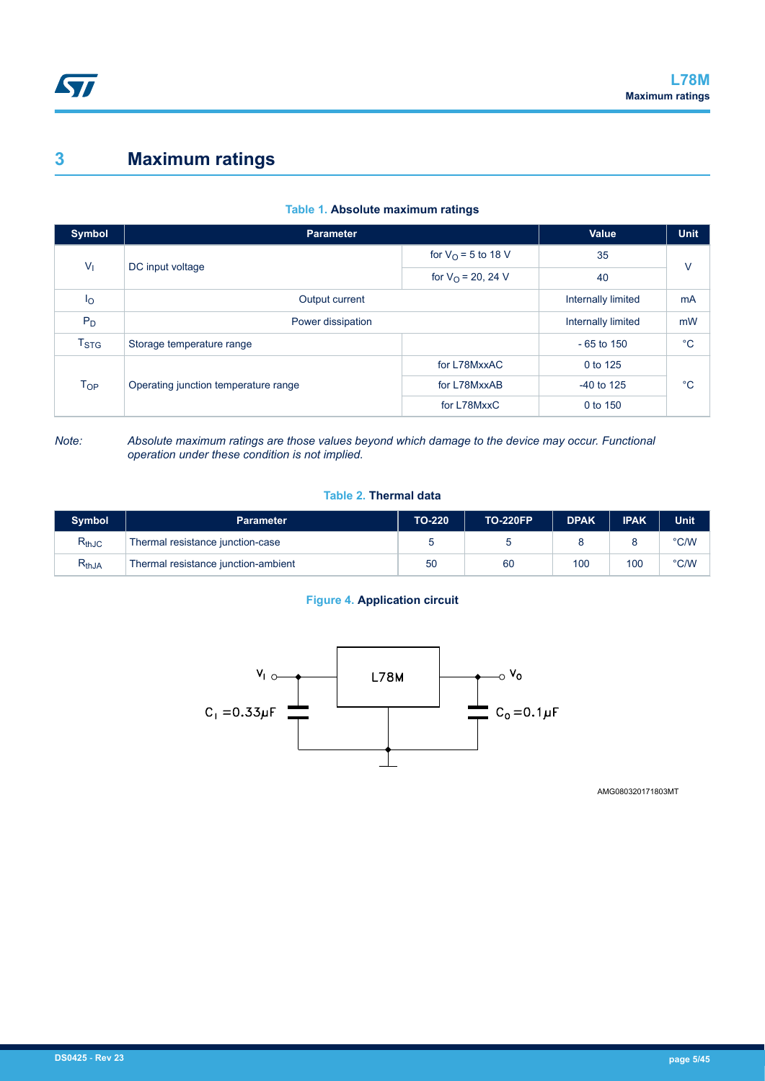## **3 Maximum ratings**

| Symbol           | <b>Parameter</b>                                |                         | Value              | <b>Unit</b>  |  |  |  |  |  |  |  |  |    |  |
|------------------|-------------------------------------------------|-------------------------|--------------------|--------------|--|--|--|--|--|--|--|--|----|--|
| V <sub>1</sub>   |                                                 | for $V_{O}$ = 5 to 18 V | 35                 | $\vee$       |  |  |  |  |  |  |  |  |    |  |
|                  | DC input voltage<br>for $V_{\Omega}$ = 20, 24 V |                         |                    |              |  |  |  |  |  |  |  |  | 40 |  |
| $I_{\rm O}$      | Output current                                  |                         | Internally limited | mA           |  |  |  |  |  |  |  |  |    |  |
| $P_D$            | Power dissipation                               |                         | Internally limited | mW           |  |  |  |  |  |  |  |  |    |  |
| T <sub>STG</sub> | Storage temperature range                       |                         | $-65$ to 150       | $^{\circ}$ C |  |  |  |  |  |  |  |  |    |  |
|                  |                                                 | for L78MxxAC            | 0 to 125           |              |  |  |  |  |  |  |  |  |    |  |
| $T_{OP}$         | Operating junction temperature range            | for L78MxxAB            | $-40$ to 125       | $^{\circ}C$  |  |  |  |  |  |  |  |  |    |  |
|                  |                                                 | for L78MxxC             | 0 to 150           |              |  |  |  |  |  |  |  |  |    |  |

### **Table 1. Absolute maximum ratings**

*Note: Absolute maximum ratings are those values beyond which damage to the device may occur. Functional operation under these condition is not implied.*

#### **Table 2. Thermal data**

| <b>Symbol</b> | Parameter                           | <b>TO-220</b> | <b>TO-220FP</b> | <b>DPAK</b> | <b>IPAK</b> | Unit          |
|---------------|-------------------------------------|---------------|-----------------|-------------|-------------|---------------|
| $R_{thJC}$    | Thermal resistance junction-case    |               |                 |             |             | $\degree$ C/W |
| $R_{thJA}$    | Thermal resistance junction-ambient | 50            | 60              | 100         | 100         | °C/W          |

### **Figure 4. Application circuit**



AMG080320171803MT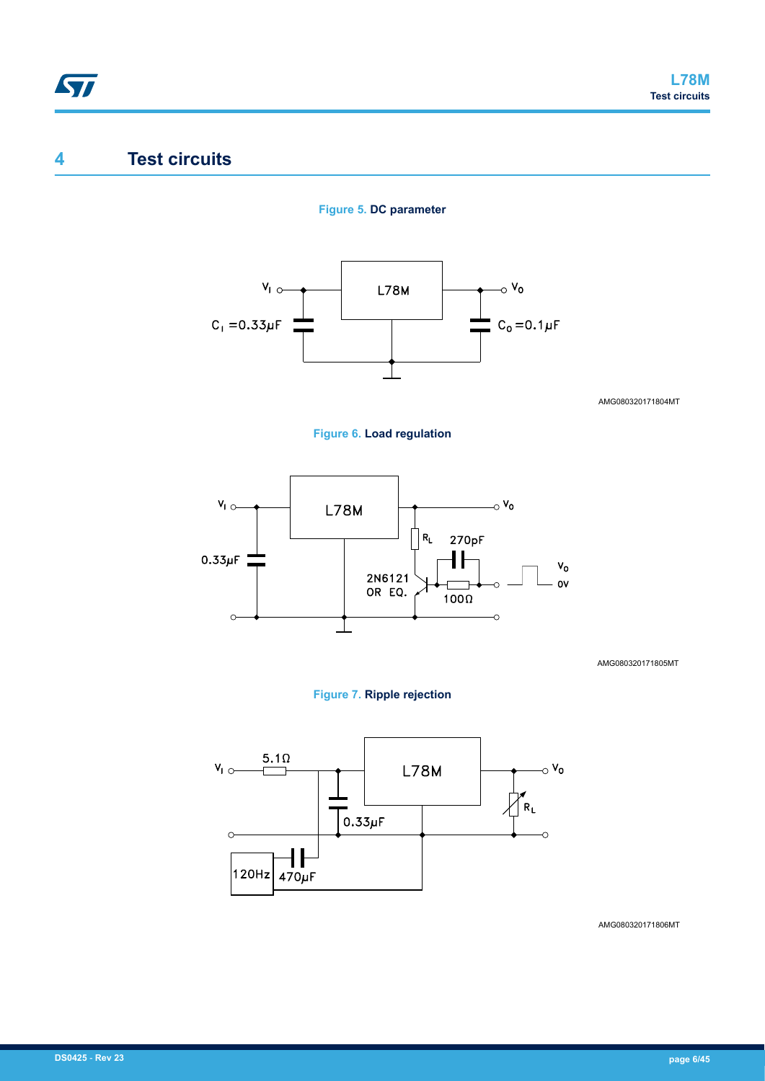## **4 Test circuits**

### **Figure 5. DC parameter**



AMG080320171804MT





AMG080320171805MT

#### **Figure 7. Ripple rejection**



AMG080320171806MT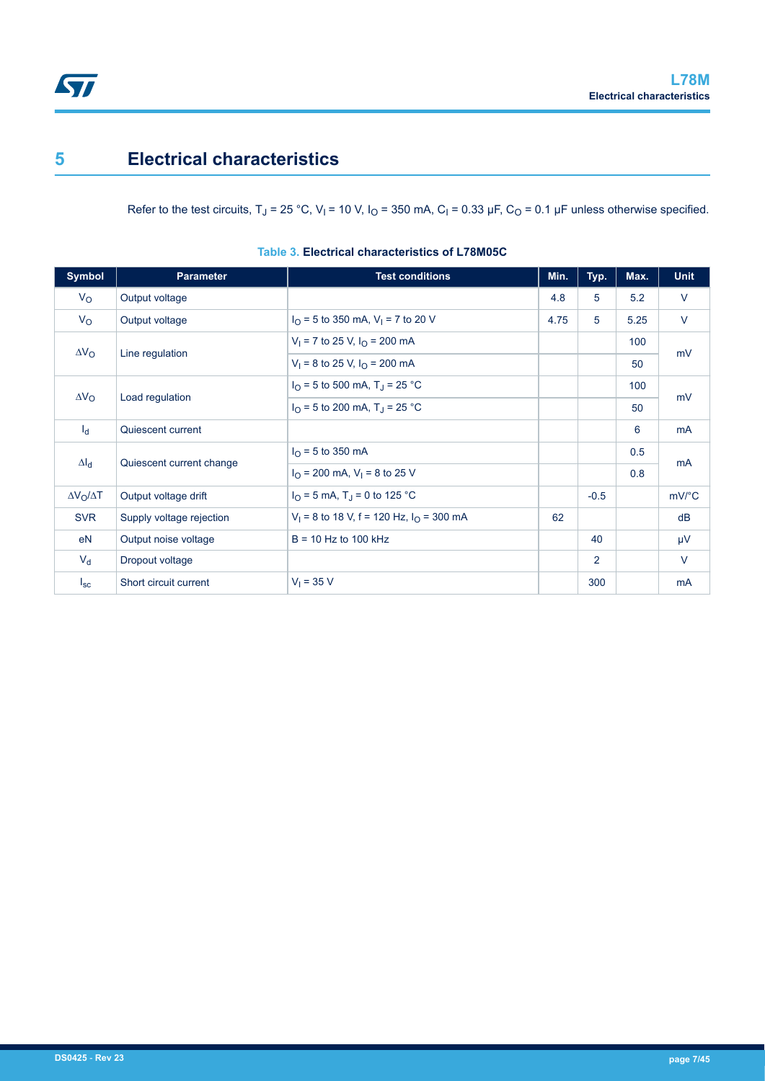## **5 Electrical characteristics**

Refer to the test circuits, T<sub>J</sub> = 25 °C, V<sub>I</sub> = 10 V, I<sub>O</sub> = 350 mA, C<sub>I</sub> = 0.33 µF, C<sub>O</sub> = 0.1 µF unless otherwise specified.

| <b>Symbol</b>         | <b>Parameter</b>         | <b>Test conditions</b>                                 | Min. | Typ.           | Max. | <b>Unit</b>           |
|-----------------------|--------------------------|--------------------------------------------------------|------|----------------|------|-----------------------|
| $V_{\rm O}$           | Output voltage           |                                                        | 4.8  | 5              | 5.2  | $\vee$                |
| $V_{\rm O}$           | Output voltage           | $I_{\Omega}$ = 5 to 350 mA, V <sub>1</sub> = 7 to 20 V | 4.75 | 5              | 5.25 | $\vee$                |
| $\Delta V_{\rm O}$    |                          | $V_1$ = 7 to 25 V, $I_{\Omega}$ = 200 mA               |      |                | 100  | mV                    |
|                       | Line regulation          | $V_1 = 8$ to 25 V, $I_0 = 200$ mA                      |      |                | 50   |                       |
|                       |                          | $I_{\Omega}$ = 5 to 500 mA, T <sub>J</sub> = 25 °C     |      |                | 100  |                       |
| $\Delta V_{\rm O}$    | Load regulation          | $I_{\Omega}$ = 5 to 200 mA, T <sub>J</sub> = 25 °C     |      |                | 50   | mV                    |
| $I_d$                 | Quiescent current        |                                                        |      |                | 6    | <b>mA</b>             |
|                       |                          | $I_{\Omega}$ = 5 to 350 mA                             |      |                | 0.5  |                       |
| $\Delta I_d$          | Quiescent current change | $I_{\Omega}$ = 200 mA, V <sub>1</sub> = 8 to 25 V      |      |                | 0.8  | <b>mA</b>             |
| $\Delta V_O/\Delta T$ | Output voltage drift     | $I_{\Omega}$ = 5 mA, T <sub>J</sub> = 0 to 125 °C      |      | $-0.5$         |      | $mV$ <sup>o</sup> $C$ |
| <b>SVR</b>            | Supply voltage rejection | $V_1$ = 8 to 18 V, f = 120 Hz, $I_0$ = 300 mA          | 62   |                |      | dB                    |
| eN                    | Output noise voltage     | $B = 10$ Hz to 100 kHz                                 |      | 40             |      | μV                    |
| $V_{d}$               | Dropout voltage          |                                                        |      | $\overline{2}$ |      | $\vee$                |
| $I_{SC}$              | Short circuit current    | $V_1 = 35 V$                                           |      | 300            |      | <b>mA</b>             |

**Table 3. Electrical characteristics of L78M05C**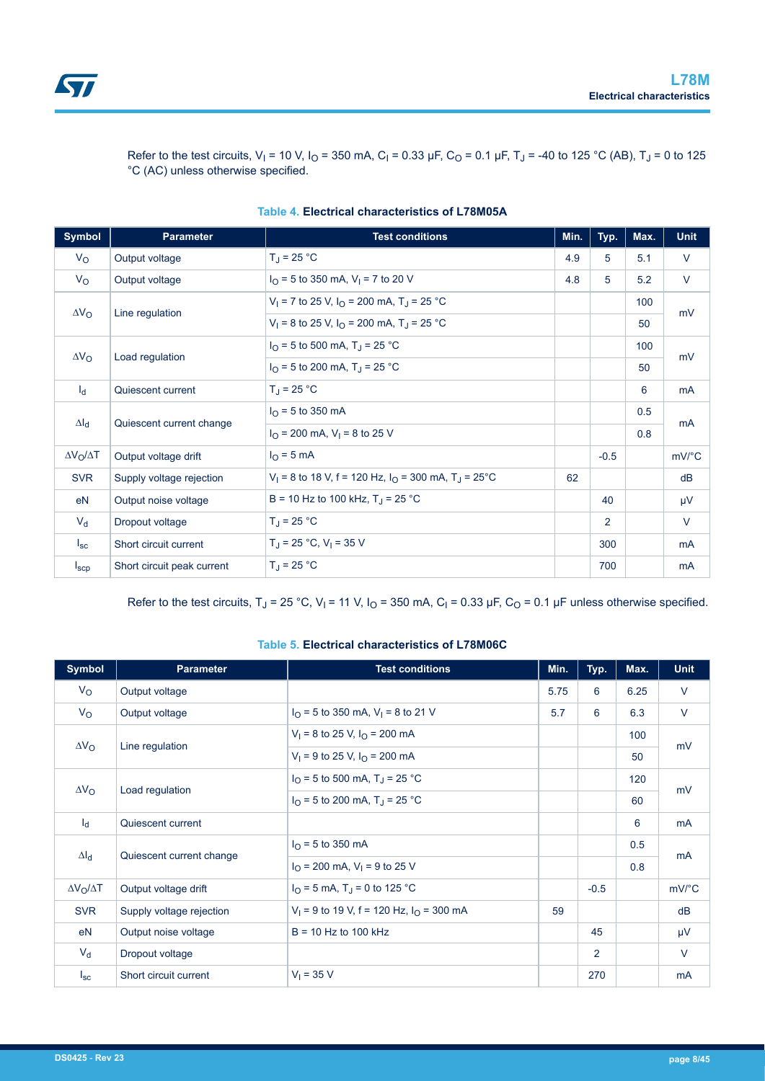

Refer to the test circuits, V<sub>I</sub> = 10 V, I<sub>O</sub> = 350 mA, C<sub>I</sub> = 0.33 µF, C<sub>O</sub> = 0.1 µF, T<sub>J</sub> = -40 to 125 °C (AB), T<sub>J</sub> = 0 to 125 °C (AC) unless otherwise specified.

| Symbol                | <b>Parameter</b>           | <b>Test conditions</b>                                                | Min. | Typ.   | Max. | <b>Unit</b> |
|-----------------------|----------------------------|-----------------------------------------------------------------------|------|--------|------|-------------|
| $V_{\rm O}$           | Output voltage             | $T_J = 25 °C$                                                         | 4.9  | 5      | 5.1  | $\vee$      |
| $V_{\rm O}$           | Output voltage             | $I_{\Omega}$ = 5 to 350 mA, V <sub>1</sub> = 7 to 20 V                | 4.8  | 5      | 5.2  | V           |
|                       |                            | $V_1$ = 7 to 25 V, $I_0$ = 200 mA, T <sub>J</sub> = 25 °C             |      |        | 100  |             |
| $\Delta V_{\rm O}$    | Line regulation            | $V_1$ = 8 to 25 V, I <sub>O</sub> = 200 mA, T <sub>J</sub> = 25 °C    |      |        | 50   | mV          |
|                       |                            | $I_{\Omega}$ = 5 to 500 mA, T <sub>J</sub> = 25 °C                    |      |        | 100  |             |
| $\Delta V_{\rm O}$    | Load regulation            | $I_{\Omega}$ = 5 to 200 mA, T <sub>J</sub> = 25 °C                    |      |        | 50   | mV          |
| $I_d$                 | Quiescent current          | $T_{\rm J}$ = 25 °C                                                   |      |        | 6    | <b>mA</b>   |
|                       |                            | $I_{\Omega}$ = 5 to 350 mA                                            |      |        | 0.5  |             |
| $\Delta I_d$          | Quiescent current change   | $I_{\Omega}$ = 200 mA, V <sub>1</sub> = 8 to 25 V                     |      |        | 0.8  | <b>mA</b>   |
| $\Delta V_O/\Delta T$ | Output voltage drift       | $IO$ = 5 mA                                                           |      | $-0.5$ |      | mV/°C       |
| <b>SVR</b>            | Supply voltage rejection   | $V_1$ = 8 to 18 V, f = 120 Hz, $I_0$ = 300 mA, T <sub>J</sub> = 25 °C | 62   |        |      | dB          |
| eN                    | Output noise voltage       | B = 10 Hz to 100 kHz, $T_{\rm J}$ = 25 °C                             |      | 40     |      | μV          |
| $V_{d}$               | Dropout voltage            | $T_{\rm J}$ = 25 °C                                                   |      | 2      |      | V           |
| $I_{\rm sc}$          | Short circuit current      | $T_J$ = 25 °C, V <sub>1</sub> = 35 V                                  |      | 300    |      | mA          |
| $I_{\text{SCP}}$      | Short circuit peak current | $T_{\rm J}$ = 25 °C                                                   |      | 700    |      | mA          |

#### **Table 4. Electrical characteristics of L78M05A**

Refer to the test circuits, T<sub>J</sub> = 25 °C, V<sub>I</sub> = 11 V, I<sub>O</sub> = 350 mA, C<sub>I</sub> = 0.33 µF, C<sub>O</sub> = 0.1 µF unless otherwise specified.

#### **Table 5. Electrical characteristics of L78M06C**

| <b>Symbol</b>           | <b>Parameter</b>         | <b>Test conditions</b>                                 | Min. | Typ.   | Max. | <b>Unit</b>           |
|-------------------------|--------------------------|--------------------------------------------------------|------|--------|------|-----------------------|
| $V_{\rm O}$             | Output voltage           |                                                        | 5.75 | 6      | 6.25 | $\vee$                |
| $V_{\rm O}$             | Output voltage           | $I_{\Omega}$ = 5 to 350 mA, V <sub>1</sub> = 8 to 21 V | 5.7  | 6      | 6.3  | $\vee$                |
| $\Delta V_{\rm O}$      |                          | $V_1$ = 8 to 25 V, $I_0$ = 200 mA                      |      |        | 100  | mV                    |
|                         | Line regulation          | $V_1 = 9$ to 25 V, $I_0 = 200$ mA                      |      |        | 50   |                       |
| $\Delta V_{\rm O}$      |                          | $I_{\Omega}$ = 5 to 500 mA, T <sub>J</sub> = 25 °C     |      |        | 120  | mV                    |
|                         | Load regulation          | $I_{\Omega}$ = 5 to 200 mA, T <sub>J</sub> = 25 °C     |      |        | 60   |                       |
| $I_d$                   | Quiescent current        |                                                        |      |        | 6    | <b>mA</b>             |
| $\Delta I_d$            |                          | $I_{\Omega}$ = 5 to 350 mA                             |      |        | 0.5  | mA                    |
|                         | Quiescent current change | $I_{\Omega}$ = 200 mA, V <sub>1</sub> = 9 to 25 V      |      |        | 0.8  |                       |
| $\Delta V_O / \Delta T$ | Output voltage drift     | $I_{\Omega}$ = 5 mA, T <sub>J</sub> = 0 to 125 °C      |      | $-0.5$ |      | $mV$ <sup>o</sup> $C$ |
| <b>SVR</b>              | Supply voltage rejection | $V_1$ = 9 to 19 V, f = 120 Hz, $I_0$ = 300 mA          | 59   |        |      | dB                    |
| eN                      | Output noise voltage     | $B = 10$ Hz to 100 kHz                                 |      | 45     |      | μV                    |
| $V_{d}$                 | Dropout voltage          |                                                        |      | 2      |      | $\vee$                |
| $I_{\rm sc}$            | Short circuit current    | $V_1 = 35 V$                                           |      | 270    |      | mA                    |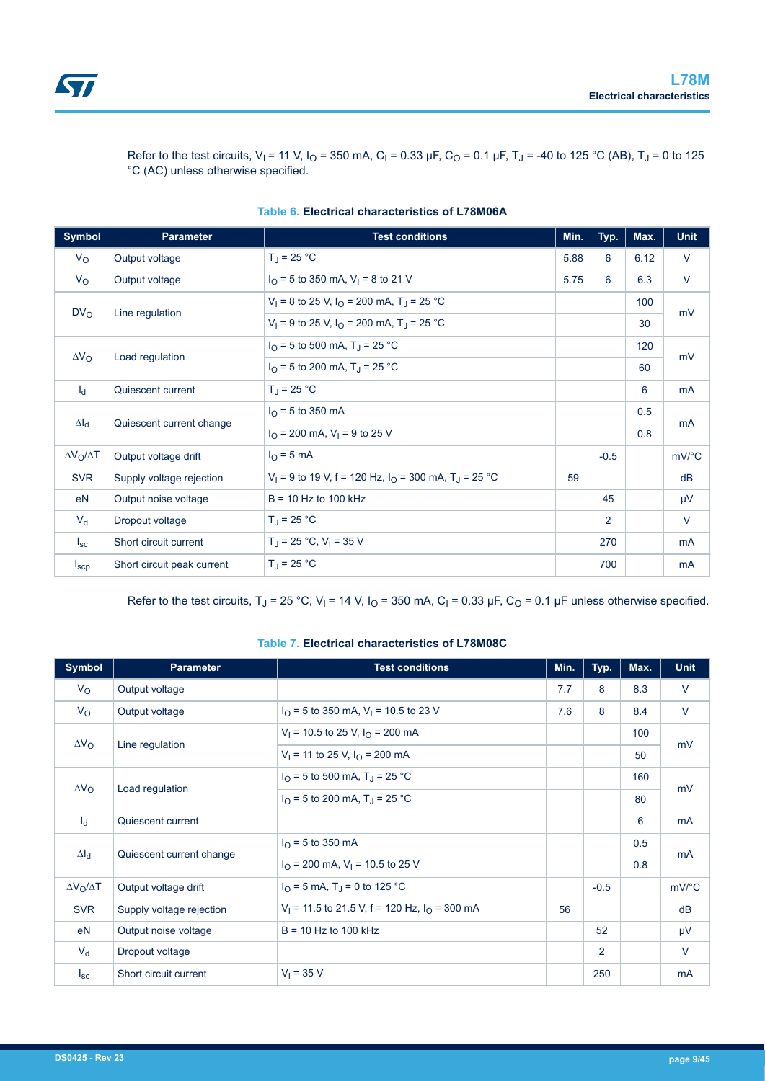

Refer to the test circuits, V<sub>I</sub> = 11 V, I<sub>O</sub> = 350 mA, C<sub>I</sub> = 0.33 µF, C<sub>O</sub> = 0.1 µF, T<sub>J</sub> = -40 to 125 °C (AB), T<sub>J</sub> = 0 to 125 °C (AC) unless otherwise specified.

| <b>Symbol</b>           | <b>Parameter</b>           | <b>Test conditions</b>                                                                | Min. | Typ.           | Max. | <b>Unit</b> |
|-------------------------|----------------------------|---------------------------------------------------------------------------------------|------|----------------|------|-------------|
| $V_{\rm O}$             | Output voltage             | $T_J = 25 °C$                                                                         | 5.88 | 6              | 6.12 | V           |
| $V_{\rm O}$             | Output voltage             | $I_{\Omega}$ = 5 to 350 mA, V <sub>1</sub> = 8 to 21 V                                | 5.75 | 6              | 6.3  | $\vee$      |
|                         |                            | $V_1 = 8$ to 25 V, $I_0 = 200$ mA, T <sub>J</sub> = 25 °C                             |      |                | 100  |             |
| DV <sub>O</sub>         | Line regulation            | $V_1 = 9$ to 25 V, $I_0 = 200$ mA, T <sub>J</sub> = 25 °C                             |      |                | 30   | mV          |
|                         |                            | $I_{\Omega}$ = 5 to 500 mA, T <sub>J</sub> = 25 °C                                    |      |                | 120  |             |
| $\Delta V_{\rm O}$      | Load regulation            | $I_{\Omega}$ = 5 to 200 mA, T <sub>J</sub> = 25 °C                                    |      |                | 60   | mV          |
| $I_d$                   | Quiescent current          | $T_{\rm J}$ = 25 °C                                                                   |      |                | 6    | <b>mA</b>   |
|                         |                            | $I_{\Omega}$ = 5 to 350 mA                                                            |      |                | 0.5  |             |
| $\Delta I_d$            | Quiescent current change   | $I_{\Omega}$ = 200 mA, V <sub>1</sub> = 9 to 25 V                                     |      |                | 0.8  | <b>mA</b>   |
| $\Delta V_O / \Delta T$ | Output voltage drift       | $IO$ = 5 mA                                                                           |      | $-0.5$         |      | mV/°C       |
| <b>SVR</b>              | Supply voltage rejection   | V <sub>1</sub> = 9 to 19 V, f = 120 Hz, $I_{\Omega}$ = 300 mA, T <sub>J</sub> = 25 °C | 59   |                |      | dB          |
| eN                      | Output noise voltage       | $B = 10$ Hz to 100 kHz                                                                |      | 45             |      | $\mu$ V     |
| $V_{d}$                 | Dropout voltage            | $T_{\rm J}$ = 25 °C                                                                   |      | $\overline{2}$ |      | V           |
| $I_{SC}$                | Short circuit current      | $T_{\rm J}$ = 25 °C, V <sub>1</sub> = 35 V                                            |      | 270            |      | <b>mA</b>   |
| $I_{\text{SCD}}$        | Short circuit peak current | $T_{\rm J}$ = 25 °C                                                                   |      | 700            |      | mA          |

|  |  | Table 6. Electrical characteristics of L78M06A |  |  |
|--|--|------------------------------------------------|--|--|
|--|--|------------------------------------------------|--|--|

Refer to the test circuits, T<sub>J</sub> = 25 °C, V<sub>I</sub> = 14 V, I<sub>O</sub> = 350 mA, C<sub>I</sub> = 0.33 µF, C<sub>O</sub> = 0.1 µF unless otherwise specified.

#### **Table 7. Electrical characteristics of L78M08C**

| Symbol                  | <b>Parameter</b>                      | <b>Test conditions</b>                                    | Min. | Typ.           | Max. | <b>Unit</b>           |
|-------------------------|---------------------------------------|-----------------------------------------------------------|------|----------------|------|-----------------------|
| $V_{\rm O}$             | Output voltage                        |                                                           | 7.7  | 8              | 8.3  | $\vee$                |
| $V_{\rm O}$             | Output voltage                        | $I_{\Omega}$ = 5 to 350 mA, V <sub>1</sub> = 10.5 to 23 V | 7.6  | 8              | 8.4  | $\vee$                |
|                         |                                       | $V_1$ = 10.5 to 25 V, $I_{\Omega}$ = 200 mA               |      |                | 100  |                       |
| $\Delta V_{\rm O}$      | Line regulation                       | $V_1$ = 11 to 25 V, $I_{\Omega}$ = 200 mA                 |      |                | 50   | mV                    |
|                         |                                       | $I_{\Omega}$ = 5 to 500 mA, T <sub>J</sub> = 25 °C        |      |                | 160  |                       |
|                         | $\Delta V_{\rm O}$<br>Load regulation | $I_{\Omega}$ = 5 to 200 mA, T <sub>J</sub> = 25 °C        |      |                | 80   | mV                    |
| $I_d$                   | Quiescent current                     |                                                           |      |                | 6    | mA                    |
|                         |                                       | $I_{\Omega}$ = 5 to 350 mA                                |      |                | 0.5  |                       |
| $\Delta I_d$            | Quiescent current change              | $I_{\Omega}$ = 200 mA, V <sub>1</sub> = 10.5 to 25 V      |      |                | 0.8  | mA                    |
| $\Delta V_O / \Delta T$ | Output voltage drift                  | $I_{\Omega}$ = 5 mA, T <sub>J</sub> = 0 to 125 °C         |      | $-0.5$         |      | $mV$ <sup>o</sup> $C$ |
| <b>SVR</b>              | Supply voltage rejection              | $V_1$ = 11.5 to 21.5 V, f = 120 Hz, $I_0$ = 300 mA        | 56   |                |      | dB                    |
| eN                      | Output noise voltage                  | $B = 10$ Hz to 100 kHz                                    |      | 52             |      | $\mu$ V               |
| $V_{d}$                 | Dropout voltage                       |                                                           |      | $\overline{2}$ |      | $\vee$                |
| $I_{SC}$                | Short circuit current                 | $V_1 = 35 V$                                              |      | 250            |      | <b>mA</b>             |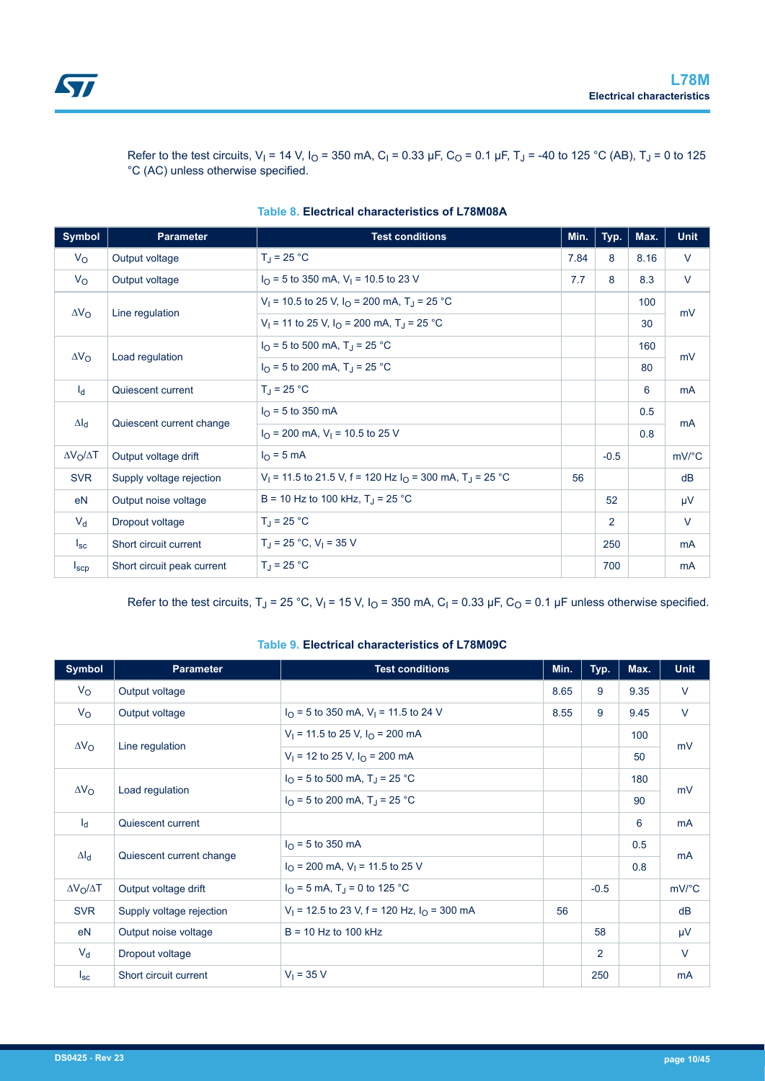

Refer to the test circuits, V<sub>I</sub> = 14 V, I<sub>O</sub> = 350 mA, C<sub>I</sub> = 0.33 µF, C<sub>O</sub> = 0.1 µF, T<sub>J</sub> = -40 to 125 °C (AB), T<sub>J</sub> = 0 to 125 °C (AC) unless otherwise specified.

| <b>Symbol</b>           | <b>Parameter</b>           | <b>Test conditions</b>                                                            | Min. | Typ.           | Max. | <b>Unit</b> |
|-------------------------|----------------------------|-----------------------------------------------------------------------------------|------|----------------|------|-------------|
| $V_{\rm O}$             | Output voltage             | $T_J = 25 °C$                                                                     | 7.84 | 8              | 8.16 | V           |
| $V_{\rm O}$             | Output voltage             | $I_{\Omega}$ = 5 to 350 mA, V <sub>1</sub> = 10.5 to 23 V                         | 7.7  | 8              | 8.3  | $\vee$      |
|                         |                            | $V_1$ = 10.5 to 25 V, $I_0$ = 200 mA, T <sub>J</sub> = 25 °C                      |      |                | 100  |             |
| $\Delta V_{\rm O}$      | Line regulation            | $V_1$ = 11 to 25 V, $I_{\Omega}$ = 200 mA, T <sub>J</sub> = 25 °C                 |      |                | 30   | mV          |
|                         |                            | $I_{\Omega}$ = 5 to 500 mA, T <sub>J</sub> = 25 °C                                |      |                | 160  |             |
| $\Delta V_{\rm O}$      | Load regulation            | $IO$ = 5 to 200 mA, T <sub>J</sub> = 25 °C                                        |      |                | 80   | mV          |
| $I_d$                   | Quiescent current          | $T_{\rm J}$ = 25 °C                                                               |      |                | 6    | <b>mA</b>   |
|                         |                            | $I_{\Omega}$ = 5 to 350 mA                                                        |      |                | 0.5  |             |
| $\Delta I_d$            | Quiescent current change   | $I_{\Omega}$ = 200 mA, V <sub>1</sub> = 10.5 to 25 V                              |      |                | 0.8  | <b>mA</b>   |
| $\Delta V_O / \Delta T$ | Output voltage drift       | $IO$ = 5 mA                                                                       |      | $-0.5$         |      | mV/°C       |
| <b>SVR</b>              | Supply voltage rejection   | V <sub>1</sub> = 11.5 to 21.5 V, f = 120 Hz $IO$ = 300 mA, T <sub>1</sub> = 25 °C | 56   |                |      | dB          |
| eN                      | Output noise voltage       | B = 10 Hz to 100 kHz, $T_{\rm J}$ = 25 °C                                         |      | 52             |      | μV          |
| $V_{d}$                 | Dropout voltage            | $T_{\rm J}$ = 25 °C                                                               |      | $\overline{2}$ |      | $\vee$      |
| $I_{\rm sc}$            | Short circuit current      | $T_J = 25 °C$ , $V_I = 35 V$                                                      |      | 250            |      | mA          |
| $I_{\text{SCP}}$        | Short circuit peak current | $T_{\rm J}$ = 25 °C                                                               |      | 700            |      | mA          |

#### **Table 8. Electrical characteristics of L78M08A**

Refer to the test circuits, T<sub>J</sub> = 25 °C, V<sub>I</sub> = 15 V, I<sub>O</sub> = 350 mA, C<sub>I</sub> = 0.33 µF, C<sub>O</sub> = 0.1 µF unless otherwise specified.

#### **Table 9. Electrical characteristics of L78M09C**

| <b>Symbol</b>         | <b>Parameter</b>                                                      | <b>Test conditions</b>                                    | Min. | Typ.           | Max. | <b>Unit</b>           |
|-----------------------|-----------------------------------------------------------------------|-----------------------------------------------------------|------|----------------|------|-----------------------|
| $V_{\rm O}$           | Output voltage                                                        |                                                           | 8.65 | 9              | 9.35 | $\vee$                |
| $V_{\rm O}$           | Output voltage                                                        | $I_{\Omega}$ = 5 to 350 mA, V <sub>1</sub> = 11.5 to 24 V | 8.55 | 9              | 9.45 | $\vee$                |
| $\Delta V_{\rm O}$    |                                                                       | $V_1$ = 11.5 to 25 V, $I_{\Omega}$ = 200 mA               |      |                | 100  | mV                    |
|                       | Line regulation                                                       | $V_1$ = 12 to 25 V, $I_{\Omega}$ = 200 mA                 |      |                | 50   |                       |
|                       |                                                                       | $I_{\Omega}$ = 5 to 500 mA, T <sub>J</sub> = 25 °C        |      |                | 180  | mV                    |
| $\Delta V_{\rm O}$    | Load regulation<br>$I_{\Omega}$ = 5 to 200 mA, T <sub>1</sub> = 25 °C |                                                           |      | 90             |      |                       |
| $I_d$                 | Quiescent current                                                     |                                                           |      |                | 6    | mA                    |
|                       |                                                                       | $I_{\Omega}$ = 5 to 350 mA                                |      |                | 0.5  |                       |
| $\Delta I_d$          | Quiescent current change                                              | $IO$ = 200 mA, V <sub>1</sub> = 11.5 to 25 V              |      |                | 0.8  | <b>mA</b>             |
| $\Delta V_O/\Delta T$ | Output voltage drift                                                  | $I_{\Omega}$ = 5 mA, T <sub>J</sub> = 0 to 125 °C         |      | $-0.5$         |      | $mV$ <sup>o</sup> $C$ |
| <b>SVR</b>            | Supply voltage rejection                                              | $V_1$ = 12.5 to 23 V, f = 120 Hz, $I_0$ = 300 mA          | 56   |                |      | dB                    |
| eN                    | Output noise voltage                                                  | $B = 10$ Hz to 100 kHz                                    |      | 58             |      | $\mu$ V               |
| $V_d$                 | Dropout voltage                                                       |                                                           |      | $\overline{2}$ |      | $\vee$                |
| $I_{\rm sc}$          | Short circuit current                                                 | $V_1 = 35 V$                                              |      | 250            |      | mA                    |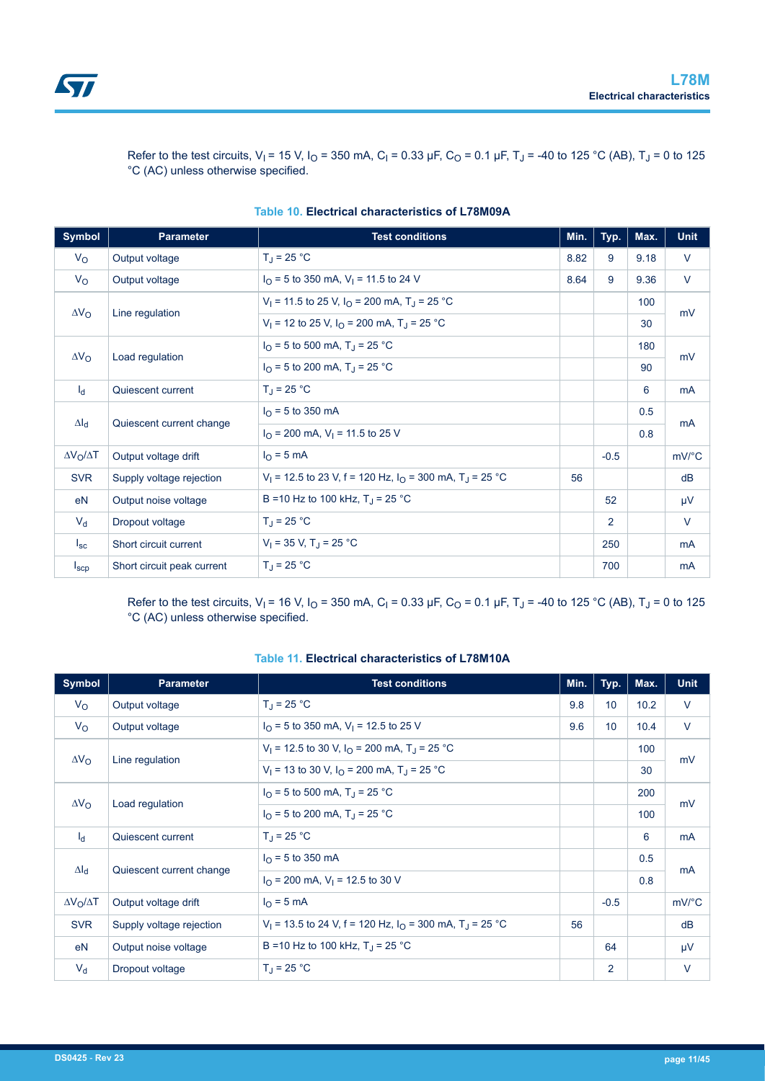

Refer to the test circuits, V<sub>I</sub> = 15 V, I<sub>O</sub> = 350 mA, C<sub>I</sub> = 0.33 µF, C<sub>O</sub> = 0.1 µF, T<sub>J</sub> = -40 to 125 °C (AB), T<sub>J</sub> = 0 to 125 °C (AC) unless otherwise specified.

| <b>Symbol</b>           | <b>Parameter</b>           | <b>Test conditions</b>                                                                   | Min. | Typ.           | Max. | Unit                  |
|-------------------------|----------------------------|------------------------------------------------------------------------------------------|------|----------------|------|-----------------------|
| $V_{\rm O}$             | Output voltage             | $T_J = 25 °C$                                                                            | 8.82 | 9              | 9.18 | V                     |
| $V_{\rm O}$             | Output voltage             | $I_{\Omega}$ = 5 to 350 mA, V <sub>1</sub> = 11.5 to 24 V                                | 8.64 | 9              | 9.36 | V                     |
|                         |                            | V <sub>1</sub> = 11.5 to 25 V, $I_{\Omega}$ = 200 mA, T <sub>J</sub> = 25 °C             |      |                | 100  | mV                    |
| $\Delta V_{\rm O}$      | Line regulation            | $V_1$ = 12 to 25 V, $I_{\Omega}$ = 200 mA, T <sub>J</sub> = 25 °C                        |      |                | 30   |                       |
|                         |                            | $I_{\Omega}$ = 5 to 500 mA, T <sub>J</sub> = 25 °C                                       |      |                | 180  | mV                    |
| $\Delta V_{\rm O}$      | Load regulation            | $I_{\Omega}$ = 5 to 200 mA, T <sub>J</sub> = 25 °C                                       |      |                | 90   |                       |
| $I_d$                   | Quiescent current          | $T_{\rm J}$ = 25 °C                                                                      |      |                | 6    | <b>mA</b>             |
| $\Delta I_d$            |                            | $I_{\Omega}$ = 5 to 350 mA                                                               |      |                | 0.5  |                       |
|                         | Quiescent current change   | $I_{\Omega}$ = 200 mA, V <sub>1</sub> = 11.5 to 25 V                                     |      |                | 0.8  | mA                    |
| $\Delta V_O / \Delta T$ | Output voltage drift       | $IO$ = 5 mA                                                                              |      | $-0.5$         |      | $mV$ <sup>o</sup> $C$ |
| <b>SVR</b>              | Supply voltage rejection   | V <sub>1</sub> = 12.5 to 23 V, f = 120 Hz, $I_{\Omega}$ = 300 mA, T <sub>J</sub> = 25 °C | 56   |                |      | dB                    |
| e <sub>N</sub>          | Output noise voltage       | B = 10 Hz to 100 kHz, $T_{\rm J}$ = 25 °C                                                |      | 52             |      | μV                    |
| $V_{d}$                 | Dropout voltage            | $T_{\rm J}$ = 25 °C                                                                      |      | $\overline{2}$ |      | V                     |
| $I_{\rm SC}$            | Short circuit current      | $V_1 = 35$ V, T <sub>J</sub> = 25 °C                                                     |      | 250            |      | mA                    |
| $I_{\text{SCP}}$        | Short circuit peak current | $T_{\rm d}$ = 25 °C                                                                      |      | 700            |      | <b>mA</b>             |

#### **Table 10. Electrical characteristics of L78M09A**

Refer to the test circuits, V<sub>I</sub> = 16 V, I<sub>O</sub> = 350 mA, C<sub>I</sub> = 0.33 µF, C<sub>O</sub> = 0.1 µF, T<sub>J</sub> = -40 to 125 °C (AB), T<sub>J</sub> = 0 to 125 °C (AC) unless otherwise specified.

#### **Table 11. Electrical characteristics of L78M10A**

| <b>Symbol</b>           | <b>Parameter</b>         | <b>Test conditions</b>                                                                   | Min. | Typ.   | Max. | <b>Unit</b>           |
|-------------------------|--------------------------|------------------------------------------------------------------------------------------|------|--------|------|-----------------------|
| $V_{\rm O}$             | Output voltage           | $T_{\rm J}$ = 25 °C                                                                      | 9.8  | 10     | 10.2 | V                     |
| $V_{\rm O}$             | Output voltage           | $I_{\Omega}$ = 5 to 350 mA, V <sub>1</sub> = 12.5 to 25 V                                | 9.6  | 10     | 10.4 | $\vee$                |
| $\Delta V_{\rm O}$      |                          | $V_1$ = 12.5 to 30 V, $I_{\Omega}$ = 200 mA, T <sub>J</sub> = 25 °C                      |      |        | 100  |                       |
|                         | Line regulation          | $V_1$ = 13 to 30 V, $I_{\Omega}$ = 200 mA, T <sub>J</sub> = 25 °C                        |      |        | 30   | mV                    |
| $\Delta V_{\rm O}$      |                          | $I_{\text{O}}$ = 5 to 500 mA, T <sub>J</sub> = 25 °C                                     |      |        | 200  | mV                    |
|                         | Load regulation          | $I_{\Omega}$ = 5 to 200 mA, T <sub>1</sub> = 25 °C                                       |      |        | 100  |                       |
| $I_d$                   | Quiescent current        | $T_{\rm d}$ = 25 °C                                                                      |      |        | 6    | <b>mA</b>             |
| $\Delta I_d$            |                          | $I_{\Omega}$ = 5 to 350 mA                                                               |      |        | 0.5  | <b>mA</b>             |
|                         | Quiescent current change | $I_{\Omega}$ = 200 mA, V <sub>1</sub> = 12.5 to 30 V                                     |      |        | 0.8  |                       |
| $\Delta V_O / \Delta T$ | Output voltage drift     | $IO$ = 5 mA                                                                              |      | $-0.5$ |      | $mV$ <sup>o</sup> $C$ |
| <b>SVR</b>              | Supply voltage rejection | V <sub>1</sub> = 13.5 to 24 V, f = 120 Hz, $I_{\Omega}$ = 300 mA, T <sub>J</sub> = 25 °C | 56   |        |      | dB                    |
| eN                      | Output noise voltage     | B = 10 Hz to 100 kHz, $T_1$ = 25 °C                                                      |      | 64     |      | μV                    |
| $V_{d}$                 | Dropout voltage          | $T_{\rm d}$ = 25 °C                                                                      |      | 2      |      | $\vee$                |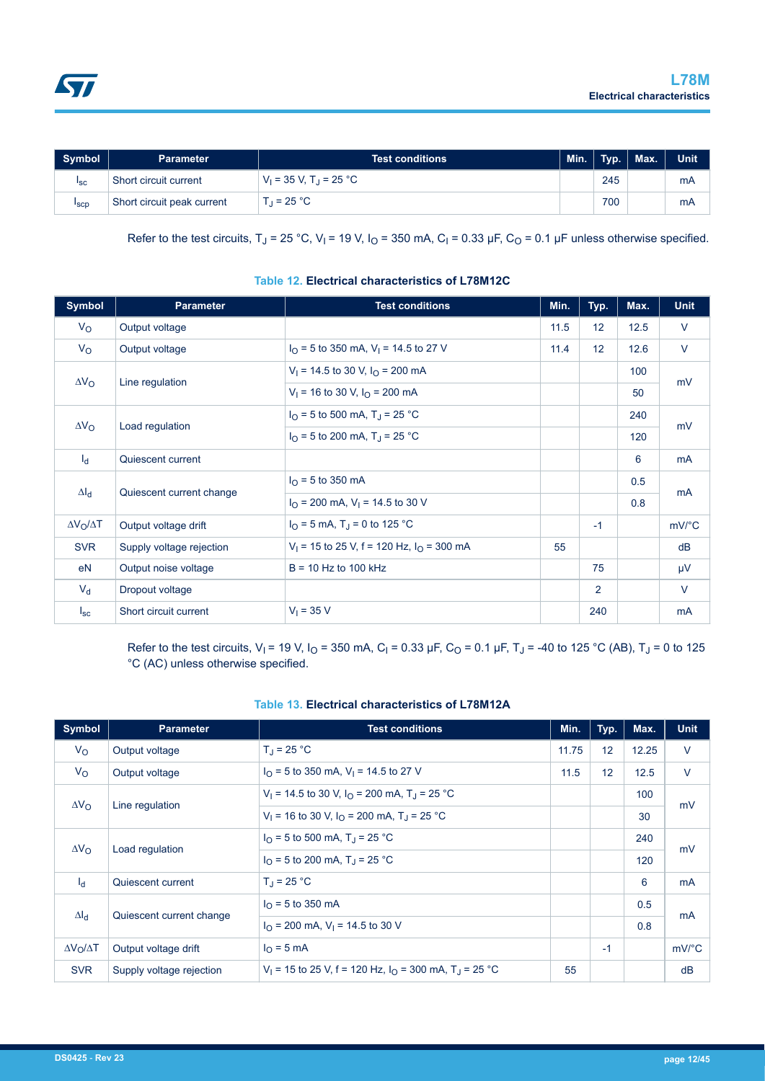

| Symbol          | <b>Parameter</b>           | <b>Test conditions</b>                 | Min. | Typ. | $\n  Max.\n$ | <b>Unit</b> |
|-----------------|----------------------------|----------------------------------------|------|------|--------------|-------------|
| <sup>1</sup> sc | Short circuit current      | $V_1 = 35 V$ , T <sub>.I</sub> = 25 °C |      | 245  |              | mA          |
| <b>I</b> scp    | Short circuit peak current | T $= 25 °C$                            |      | 700  |              | mA          |

Refer to the test circuits, T<sub>J</sub> = 25 °C, V<sub>I</sub> = 19 V, I<sub>O</sub> = 350 mA, C<sub>I</sub> = 0.33 µF, C<sub>O</sub> = 0.1 µF unless otherwise specified.

| <b>Symbol</b>           | <b>Parameter</b>         | <b>Test conditions</b>                                    | Min. | Typ. | Max. | <b>Unit</b>           |
|-------------------------|--------------------------|-----------------------------------------------------------|------|------|------|-----------------------|
| $V_{\rm O}$             | Output voltage           |                                                           | 11.5 | 12   | 12.5 | $\vee$                |
| $V_{\rm O}$             | Output voltage           | $I_{\Omega}$ = 5 to 350 mA, V <sub>1</sub> = 14.5 to 27 V | 11.4 | 12   | 12.6 | $\vee$                |
| $\Delta V_{\rm O}$      |                          | $V_1$ = 14.5 to 30 V, $I_{\Omega}$ = 200 mA               |      |      | 100  |                       |
|                         | Line regulation          | $V_1$ = 16 to 30 V, $I_{\Omega}$ = 200 mA                 |      |      | 50   | mV                    |
| $\Delta V_O$            |                          | $I_{\Omega}$ = 5 to 500 mA, T <sub>J</sub> = 25 °C        |      |      | 240  | mV                    |
|                         | Load regulation          | $I_{\Omega}$ = 5 to 200 mA, T <sub>J</sub> = 25 °C        |      |      | 120  |                       |
| $I_d$                   | Quiescent current        |                                                           |      |      | 6    | mA                    |
|                         |                          | $I_{\Omega}$ = 5 to 350 mA                                |      |      | 0.5  |                       |
| $\Delta I_d$            | Quiescent current change | $I_{\Omega}$ = 200 mA, V <sub>1</sub> = 14.5 to 30 V      |      |      | 0.8  | <b>mA</b>             |
| $\Delta V_O / \Delta T$ | Output voltage drift     | $I_{\text{O}}$ = 5 mA, T <sub>J</sub> = 0 to 125 °C       |      | $-1$ |      | $mV$ <sup>o</sup> $C$ |
| <b>SVR</b>              | Supply voltage rejection | $V_1$ = 15 to 25 V, f = 120 Hz, $I_{\Omega}$ = 300 mA     | 55   |      |      | dB                    |
| eN                      | Output noise voltage     | $B = 10$ Hz to 100 kHz                                    |      | 75   |      | μV                    |
| $V_{d}$                 | Dropout voltage          |                                                           |      | 2    |      | $\vee$                |
| $I_{\rm sc}$            | Short circuit current    | $V_1 = 35 V$                                              |      | 240  |      | mA                    |

#### **Table 12. Electrical characteristics of L78M12C**

Refer to the test circuits, V<sub>I</sub> = 19 V, I<sub>O</sub> = 350 mA, C<sub>I</sub> = 0.33 µF, C<sub>O</sub> = 0.1 µF, T<sub>J</sub> = -40 to 125 °C (AB), T<sub>J</sub> = 0 to 125 °C (AC) unless otherwise specified.

| <b>Symbol</b>         | <b>Parameter</b>         | <b>Test conditions</b>                                                                 |       | Typ. | Max.  | <b>Unit</b>           |
|-----------------------|--------------------------|----------------------------------------------------------------------------------------|-------|------|-------|-----------------------|
| $V_{\rm O}$           | Output voltage           | $T_{\rm d}$ = 25 °C                                                                    | 11.75 | 12   | 12.25 | $\vee$                |
| $V_{\rm O}$           | Output voltage           | $I_{\Omega}$ = 5 to 350 mA, V <sub>1</sub> = 14.5 to 27 V                              | 11.5  | 12   | 12.5  | $\vee$                |
| $\Delta V_{\rm O}$    |                          | $V_1$ = 14.5 to 30 V, $I_0$ = 200 mA, T <sub>J</sub> = 25 °C                           |       |      | 100   | mV<br>mV<br>mA        |
|                       | Line regulation          | $V_1$ = 16 to 30 V, $I_0$ = 200 mA, T <sub>J</sub> = 25 °C                             |       |      | 30    |                       |
|                       |                          | $I_{\Omega}$ = 5 to 500 mA, T <sub>J</sub> = 25 °C                                     |       |      | 240   |                       |
| $\Delta V_{\rm O}$    | Load regulation          | $I_{\Omega}$ = 5 to 200 mA, T <sub>J</sub> = 25 °C                                     |       |      | 120   |                       |
| $I_d$                 | Quiescent current        | $T_{\rm d}$ = 25 °C                                                                    |       |      | 6     |                       |
|                       |                          | $I_{\Omega}$ = 5 to 350 mA                                                             |       |      | 0.5   |                       |
| $\Delta I_d$          | Quiescent current change | $I_{\Omega}$ = 200 mA, V <sub>1</sub> = 14.5 to 30 V                                   |       |      | 0.8   | mA                    |
| $\Delta V_O/\Delta T$ | Output voltage drift     | $IO$ = 5 mA                                                                            |       | $-1$ |       | $mV$ <sup>o</sup> $C$ |
| <b>SVR</b>            | Supply voltage rejection | V <sub>1</sub> = 15 to 25 V, f = 120 Hz, $I_{\Omega}$ = 300 mA, T <sub>J</sub> = 25 °C | 55    |      |       | dB                    |

#### **Table 13. Electrical characteristics of L78M12A**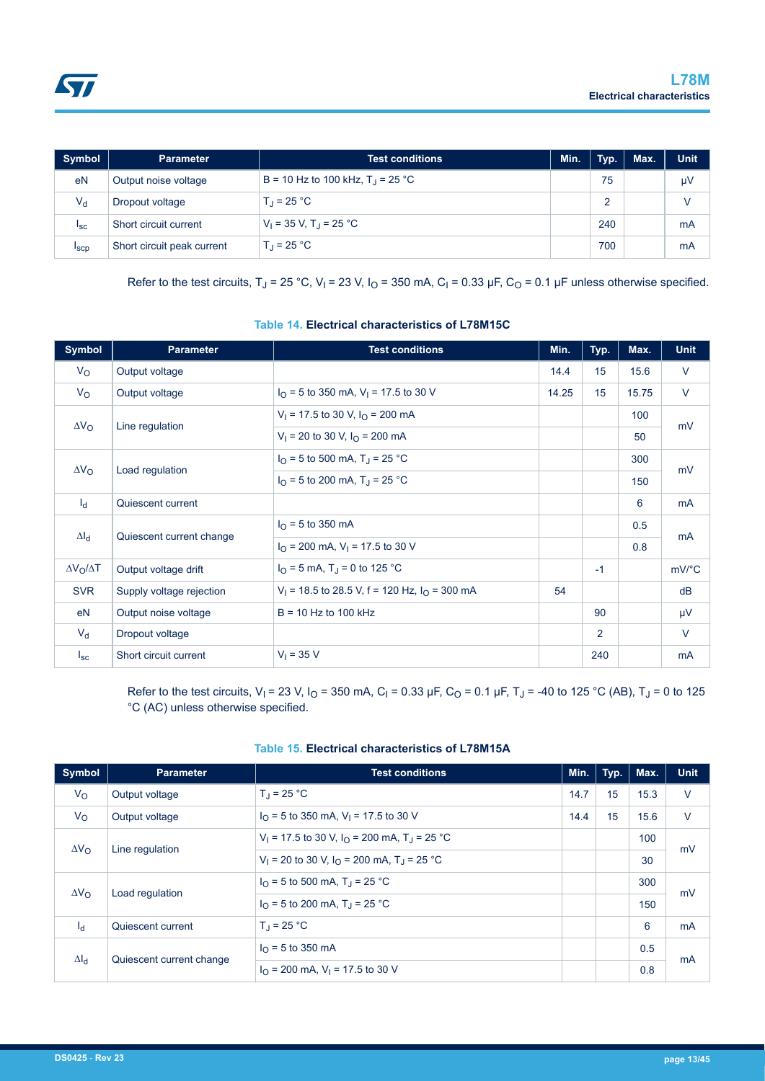

| Symbol          | <b>Parameter</b>           | <b>Test conditions</b>                    | Min. | Typ. | Max. | <b>Unit</b> |
|-----------------|----------------------------|-------------------------------------------|------|------|------|-------------|
| eN              | Output noise voltage       | B = 10 Hz to 100 kHz, $T_{\rm d}$ = 25 °C |      | 75   |      | μV          |
| $V_{\sf d}$     | Dropout voltage            | $T_{\rm d}$ = 25 °C                       |      |      |      | V           |
| <sup>1</sup> sc | Short circuit current      | $V_1 = 35 V$ , T <sub>J</sub> = 25 °C     |      | 240  |      | mA          |
| <b>I</b> scp    | Short circuit peak current | $T_{\rm d}$ = 25 °C                       |      | 700  |      | mA          |

Refer to the test circuits, T<sub>J</sub> = 25 °C, V<sub>I</sub> = 23 V, I<sub>O</sub> = 350 mA, C<sub>I</sub> = 0.33 µF, C<sub>O</sub> = 0.1 µF unless otherwise specified.

| <b>Symbol</b>           | <b>Parameter</b>         | <b>Test conditions</b>                                    | Min.  | Typ.           | Max.  | <b>Unit</b>           |
|-------------------------|--------------------------|-----------------------------------------------------------|-------|----------------|-------|-----------------------|
| $V_{\rm O}$             | Output voltage           |                                                           | 14.4  | 15             | 15.6  | $\vee$                |
| $V_{\rm O}$             | Output voltage           | $I_{\Omega}$ = 5 to 350 mA, V <sub>1</sub> = 17.5 to 30 V | 14.25 | 15             | 15.75 | $\vee$                |
| $\Delta V_{\rm O}$      |                          | $V_1$ = 17.5 to 30 V, $I_{\Omega}$ = 200 mA               |       |                | 100   |                       |
|                         | Line regulation          | $V_1$ = 20 to 30 V, $I_0$ = 200 mA                        |       |                | 50    | mV                    |
| $\Delta V_{\rm O}$      |                          | $I_{\Omega}$ = 5 to 500 mA, T <sub>J</sub> = 25 °C        |       |                | 300   | mV                    |
|                         | Load regulation          | $I_{\Omega}$ = 5 to 200 mA, T <sub>J</sub> = 25 °C        |       |                | 150   |                       |
| $I_d$                   | Quiescent current        |                                                           |       |                | 6     | mA                    |
|                         |                          | $I_{\Omega}$ = 5 to 350 mA                                |       |                | 0.5   |                       |
| $\Delta I_d$            | Quiescent current change | $I_{\Omega}$ = 200 mA, V <sub>1</sub> = 17.5 to 30 V      |       |                | 0.8   | <b>mA</b>             |
| $\Delta V_O / \Delta T$ | Output voltage drift     | $I_{\Omega}$ = 5 mA, T <sub>J</sub> = 0 to 125 °C         |       | $-1$           |       | $mV$ <sup>o</sup> $C$ |
| <b>SVR</b>              | Supply voltage rejection | $V_1$ = 18.5 to 28.5 V, f = 120 Hz, $I_0$ = 300 mA        | 54    |                |       | dB                    |
| eN                      | Output noise voltage     | $B = 10$ Hz to 100 kHz                                    |       | 90             |       | μV                    |
| $V_{d}$                 | Dropout voltage          |                                                           |       | $\overline{2}$ |       | $\vee$                |
| $I_{\rm sc}$            | Short circuit current    | $V_1 = 35 V$                                              |       | 240            |       | mA                    |

#### **Table 14. Electrical characteristics of L78M15C**

Refer to the test circuits, V<sub>I</sub> = 23 V, I<sub>O</sub> = 350 mA, C<sub>I</sub> = 0.33 µF, C<sub>O</sub> = 0.1 µF, T<sub>J</sub> = -40 to 125 °C (AB), T<sub>J</sub> = 0 to 125 °C (AC) unless otherwise specified.

| <b>Symbol</b>       | <b>Parameter</b>         | Min.<br><b>Test conditions</b>                                      |      | Typ. | Max. | <b>Unit</b> |
|---------------------|--------------------------|---------------------------------------------------------------------|------|------|------|-------------|
| $V_{\rm O}$         | Output voltage           | $T_{\rm d}$ = 25 °C                                                 | 14.7 | 15   | 15.3 | $\vee$      |
| $V_{\rm O}$         | Output voltage           | $I_{\Omega}$ = 5 to 350 mA, V <sub>1</sub> = 17.5 to 30 V           | 14.4 | 15   | 15.6 | $\vee$      |
| $\Delta V_{\Omega}$ | Line regulation          | $V_1$ = 17.5 to 30 V, $I_{\Omega}$ = 200 mA, T <sub>J</sub> = 25 °C |      |      | 100  | mV          |
|                     |                          | $V_1$ = 20 to 30 V, $I_Q$ = 200 mA, T <sub>J</sub> = 25 °C          |      |      | 30   |             |
| $\Delta V_{\Omega}$ | Load regulation          | $I_{\Omega}$ = 5 to 500 mA, T <sub>1</sub> = 25 °C                  |      |      | 300  | mV          |
|                     |                          | $I_{\Omega}$ = 5 to 200 mA, T <sub>1</sub> = 25 °C                  |      |      | 150  |             |
| $I_d$               | Quiescent current        | $T_1 = 25 °C$                                                       |      |      | 6    | mA          |
| $\Delta I_{\rm cl}$ | Quiescent current change | $I_{\Omega}$ = 5 to 350 mA                                          |      |      | 0.5  | mA          |
|                     |                          | $I_{\Omega}$ = 200 mA, V <sub>1</sub> = 17.5 to 30 V                |      |      | 0.8  |             |

### **Table 15. Electrical characteristics of L78M15A**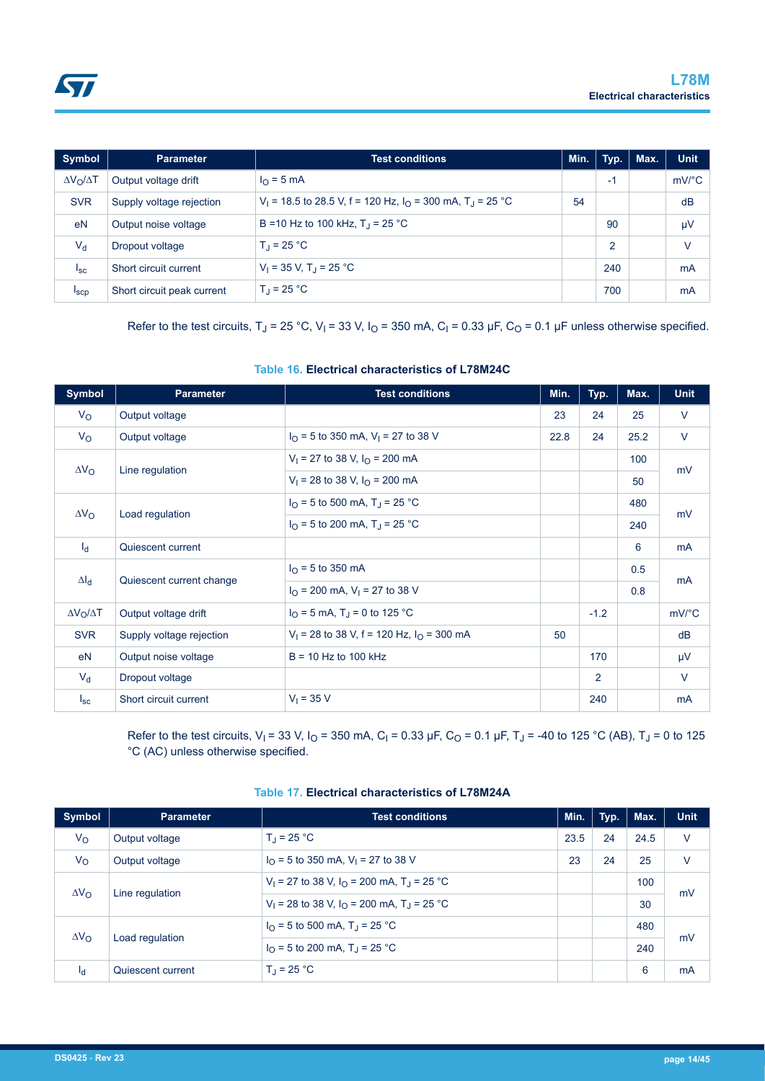

| Symbol                | <b>Parameter</b>           | Min.<br><b>Test conditions</b>                                                     |    | Typ.           | Max. | <b>Unit</b>           |
|-----------------------|----------------------------|------------------------------------------------------------------------------------|----|----------------|------|-----------------------|
| $\Delta V_O/\Delta T$ | Output voltage drift       | $I_{\Omega}$ = 5 mA                                                                |    | $-1$           |      | $mV$ <sup>o</sup> $C$ |
| <b>SVR</b>            | Supply voltage rejection   | V <sub>1</sub> = 18.5 to 28.5 V, f = 120 Hz, $IO$ = 300 mA, T <sub>J</sub> = 25 °C | 54 |                |      | dB                    |
| eN                    | Output noise voltage       | B = 10 Hz to 100 kHz, $T_1$ = 25 °C                                                |    | 90             |      | μV                    |
| $V_{d}$               | Dropout voltage            | $T_{d}$ = 25 °C                                                                    |    | $\overline{2}$ |      | $\vee$                |
| $I_{SC}$              | Short circuit current      | $V_1 = 35 V$ , T <sub>J</sub> = 25 °C                                              |    | 240            |      | mA                    |
| <sup>I</sup> scp      | Short circuit peak current | $T_1 = 25 °C$                                                                      |    | 700            |      | mA                    |

Refer to the test circuits, T<sub>J</sub> = 25 °C, V<sub>I</sub> = 33 V, I<sub>O</sub> = 350 mA, C<sub>I</sub> = 0.33 µF, C<sub>O</sub> = 0.1 µF unless otherwise specified.

#### **Table 16. Electrical characteristics of L78M24C**

| <b>Symbol</b>         | <b>Parameter</b>         | <b>Test conditions</b>                                  | Min. | Typ.   | Max. | <b>Unit</b>           |
|-----------------------|--------------------------|---------------------------------------------------------|------|--------|------|-----------------------|
| $V_{\rm O}$           | Output voltage           |                                                         | 23   | 24     | 25   | $\vee$                |
| $V_{\rm O}$           | Output voltage           | $I_{\Omega}$ = 5 to 350 mA, V <sub>1</sub> = 27 to 38 V | 22.8 | 24     | 25.2 | $\vee$                |
|                       |                          | $V_1$ = 27 to 38 V, $I_0$ = 200 mA                      |      |        | 100  |                       |
| $\Delta V_{\rm O}$    | Line regulation          | $V_1$ = 28 to 38 V, $I_0$ = 200 mA                      |      |        | 50   | mV                    |
|                       |                          | $I_{\Omega}$ = 5 to 500 mA, T <sub>J</sub> = 25 °C      |      |        | 480  |                       |
| $\Delta V_{\rm O}$    | Load regulation          | $I_{\Omega}$ = 5 to 200 mA, T <sub>J</sub> = 25 °C      |      |        | 240  | mV                    |
| $I_d$                 | Quiescent current        |                                                         |      |        | 6    | mA                    |
|                       |                          | $I_{\Omega}$ = 5 to 350 mA                              |      |        | 0.5  |                       |
| $\Delta I_d$          | Quiescent current change | $I_{\Omega}$ = 200 mA, V <sub>1</sub> = 27 to 38 V      |      |        | 0.8  | <b>mA</b>             |
| $\Delta V_O/\Delta T$ | Output voltage drift     | $I_{\text{O}}$ = 5 mA, T <sub>J</sub> = 0 to 125 °C     |      | $-1.2$ |      | $mV$ <sup>o</sup> $C$ |
| <b>SVR</b>            | Supply voltage rejection | $V_1$ = 28 to 38 V, f = 120 Hz, $I_0$ = 300 mA          | 50   |        |      | dB                    |
| e <sub>N</sub>        | Output noise voltage     | $B = 10$ Hz to 100 kHz                                  |      | 170    |      | $\mu$ V               |
| $V_{d}$               | Dropout voltage          |                                                         |      | 2      |      | $\vee$                |
| $I_{\rm sc}$          | Short circuit current    | $V_1 = 35 V$                                            |      | 240    |      | mA                    |

Refer to the test circuits, V<sub>I</sub> = 33 V, I<sub>O</sub> = 350 mA, C<sub>I</sub> = 0.33 µF, C<sub>O</sub> = 0.1 µF, T<sub>J</sub> = -40 to 125 °C (AB), T<sub>J</sub> = 0 to 125 °C (AC) unless otherwise specified.

| <b>Symbol</b>       | <b>Parameter</b>  | <b>Test conditions</b>                                                     | Min. | Typ. | Max. | <b>Unit</b> |
|---------------------|-------------------|----------------------------------------------------------------------------|------|------|------|-------------|
| $V_{\rm O}$         | Output voltage    | $T_1 = 25 °C$                                                              | 23.5 | 24   | 24.5 | V           |
| $V_{\rm O}$         | Output voltage    | $I_{\Omega}$ = 5 to 350 mA, V <sub>1</sub> = 27 to 38 V                    | 23   | 24   | 25   | V           |
| $\Delta V_{\Omega}$ |                   | V <sub>1</sub> = 27 to 38 V, $I_{\Omega}$ = 200 mA, T <sub>J</sub> = 25 °C |      |      | 100  | mV<br>mV    |
|                     | Line regulation   | $V_1$ = 28 to 38 V, $I_0$ = 200 mA, T <sub>J</sub> = 25 °C                 |      |      | 30   |             |
|                     |                   | $IO$ = 5 to 500 mA, T <sub>J</sub> = 25 °C                                 |      |      | 480  |             |
| $\Delta V_{\rm O}$  | Load regulation   | $I_{\Omega}$ = 5 to 200 mA, T <sub>J</sub> = 25 °C                         |      |      | 240  |             |
| $I_{d}$             | Quiescent current | $T_{\rm d}$ = 25 °C                                                        |      |      | 6    | mA          |

#### **Table 17. Electrical characteristics of L78M24A**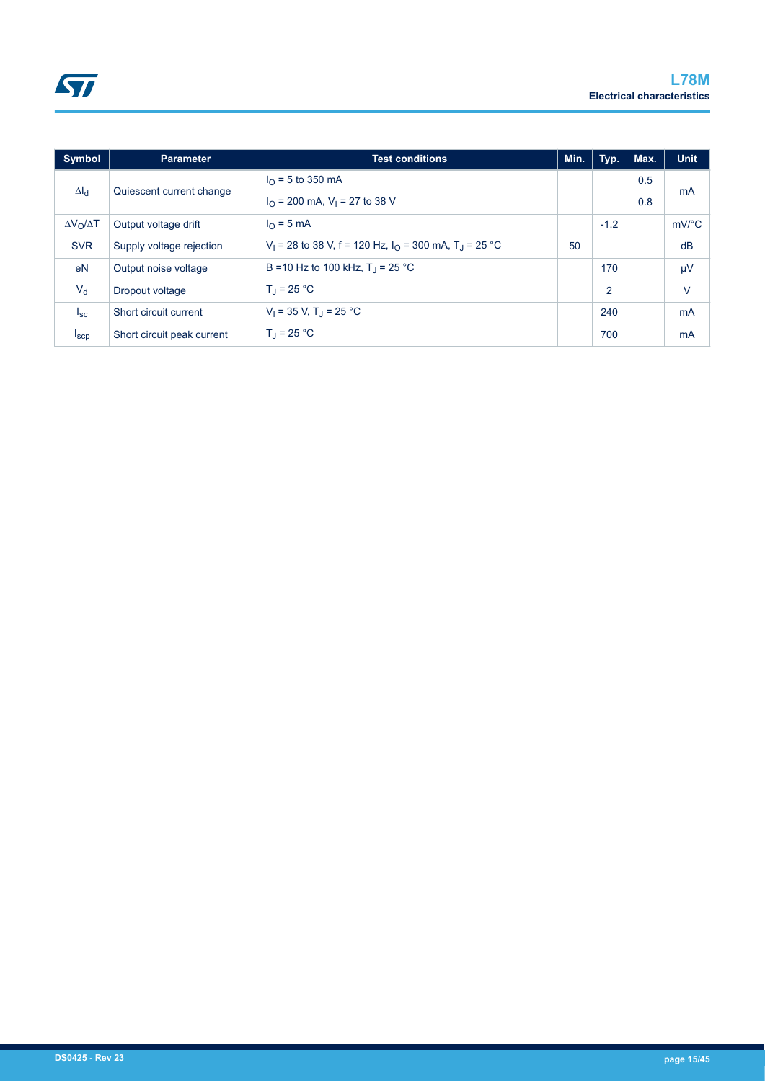| Symbol                | <b>Parameter</b>           | <b>Test conditions</b>                                                                 | Min. | Typ.           | Max. | <b>Unit</b>           |
|-----------------------|----------------------------|----------------------------------------------------------------------------------------|------|----------------|------|-----------------------|
| $\Delta I_{\rm d}$    |                            | $I_{\Omega}$ = 5 to 350 mA                                                             |      |                | 0.5  |                       |
|                       | Quiescent current change   | $I_{\text{O}}$ = 200 mA, V <sub>1</sub> = 27 to 38 V                                   |      |                | 0.8  | mA                    |
| $\Delta V_O/\Delta T$ | Output voltage drift       | $I_{\Omega}$ = 5 mA                                                                    |      | $-1.2$         |      | $mV$ <sup>o</sup> $C$ |
| <b>SVR</b>            | Supply voltage rejection   | V <sub>1</sub> = 28 to 38 V, f = 120 Hz, $I_{\Omega}$ = 300 mA, T <sub>J</sub> = 25 °C | 50   |                |      | dB                    |
| eN                    | Output noise voltage       | B = 10 Hz to 100 kHz, $T_1$ = 25 °C                                                    |      | 170            |      | $\mu$ V               |
| $V_{d}$               | Dropout voltage            | $T_{\rm d}$ = 25 °C                                                                    |      | $\overline{2}$ |      | $\vee$                |
| $I_{SC}$              | Short circuit current      | $V_1 = 35 V$ , T <sub>J</sub> = 25 °C                                                  |      | 240            |      | mA                    |
| $I_{\text{SCP}}$      | Short circuit peak current | $T_J = 25 °C$                                                                          |      | 700            |      | mA                    |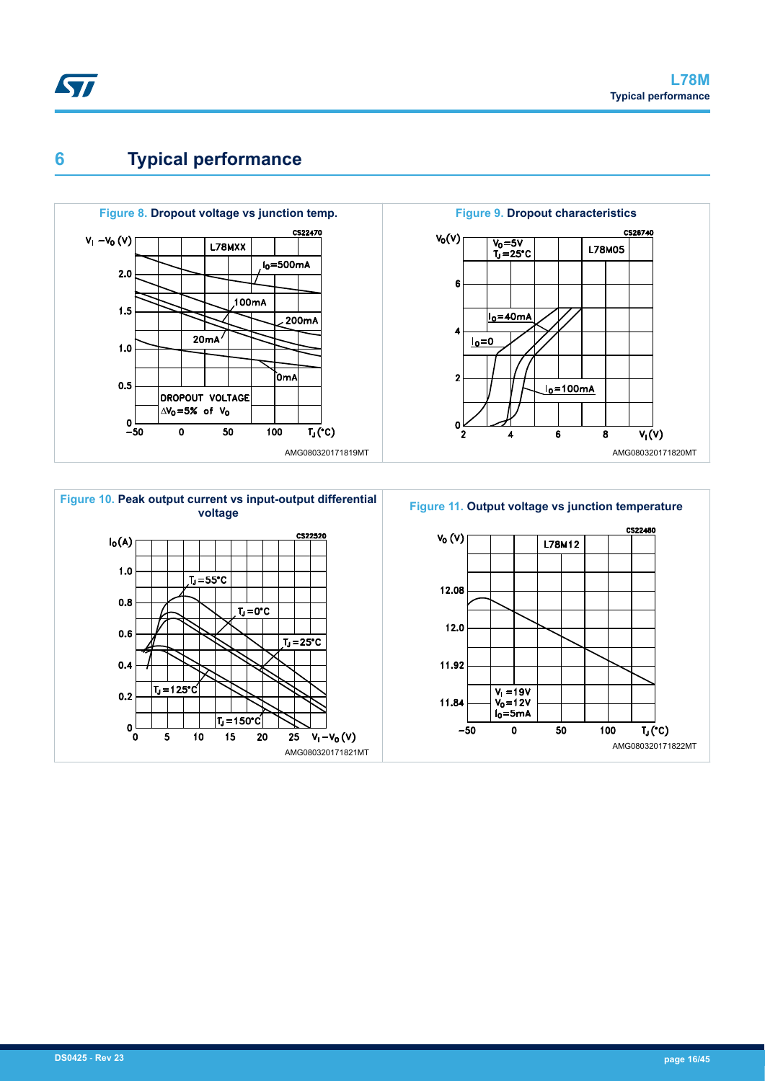## **6 Typical performance**



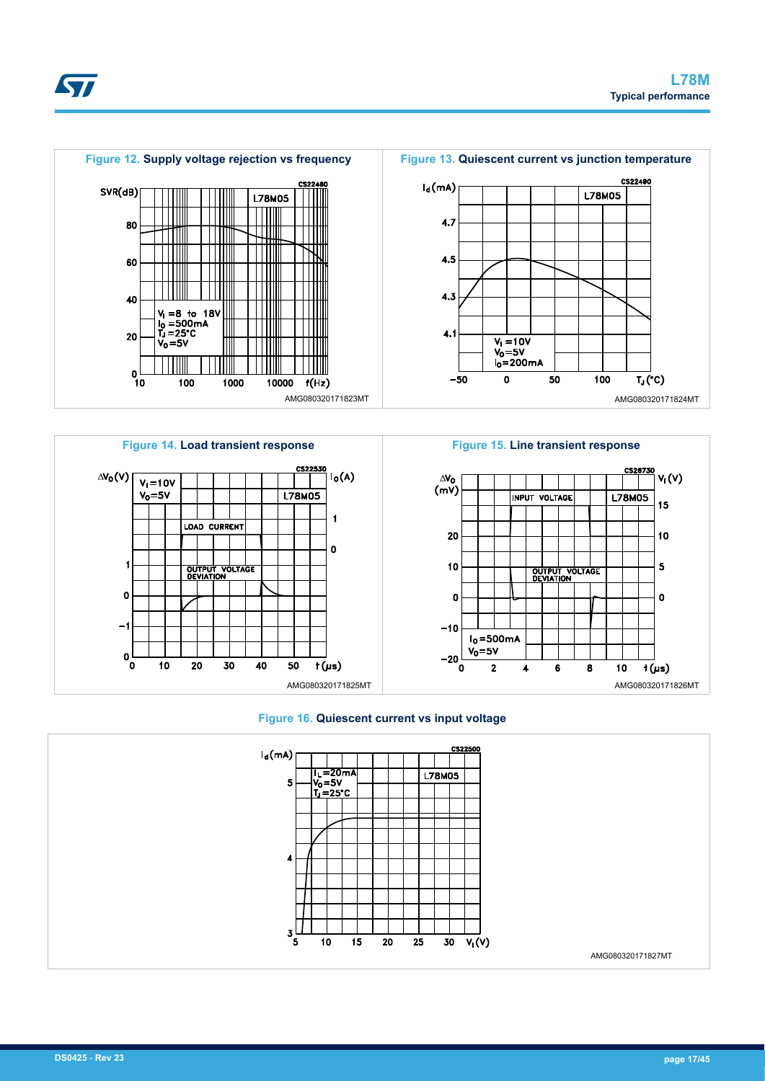



**Figure 15. Line transient response**







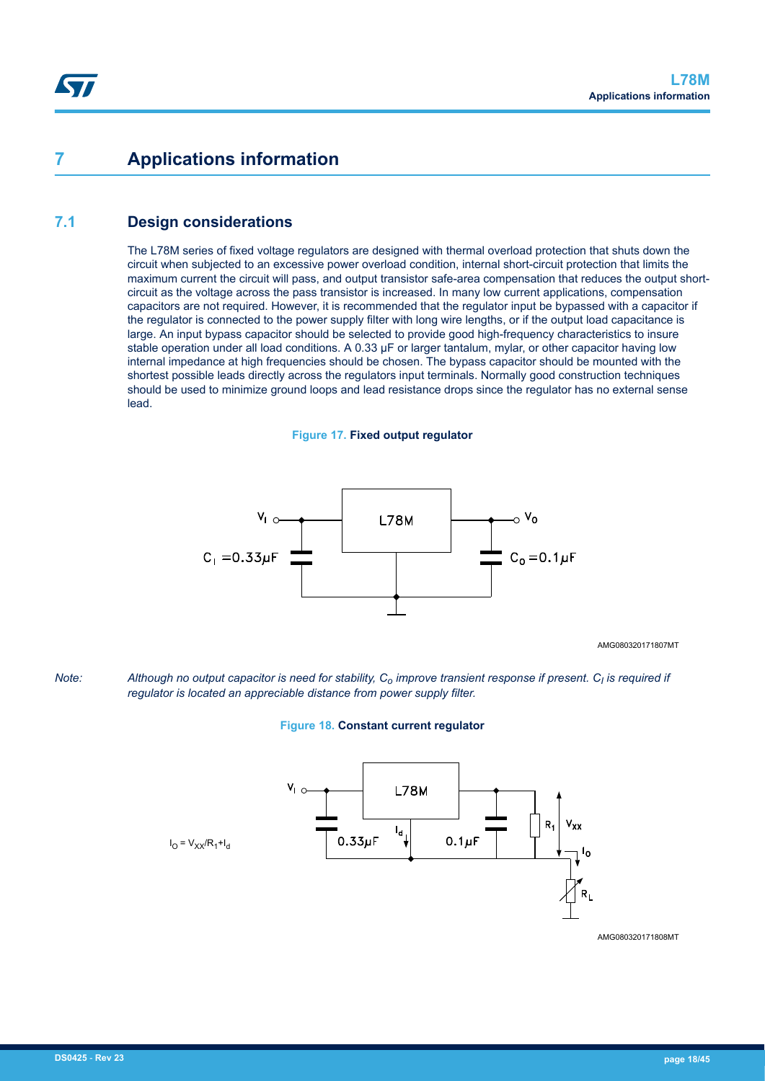## **7 Applications information**

## **7.1 Design considerations**

The L78M series of fixed voltage regulators are designed with thermal overload protection that shuts down the circuit when subjected to an excessive power overload condition, internal short-circuit protection that limits the maximum current the circuit will pass, and output transistor safe-area compensation that reduces the output shortcircuit as the voltage across the pass transistor is increased. In many low current applications, compensation capacitors are not required. However, it is recommended that the regulator input be bypassed with a capacitor if the regulator is connected to the power supply filter with long wire lengths, or if the output load capacitance is large. An input bypass capacitor should be selected to provide good high-frequency characteristics to insure stable operation under all load conditions. A 0.33 µF or larger tantalum, mylar, or other capacitor having low internal impedance at high frequencies should be chosen. The bypass capacitor should be mounted with the shortest possible leads directly across the regulators input terminals. Normally good construction techniques should be used to minimize ground loops and lead resistance drops since the regulator has no external sense lead.





AMG080320171807MT

*Note: Although no output capacitor is need for stability, Co improve transient response if present. C<sup>I</sup> is required if regulator is located an appreciable distance from power supply filter.*

#### **Figure 18. Constant current regulator**



AMG080320171808MT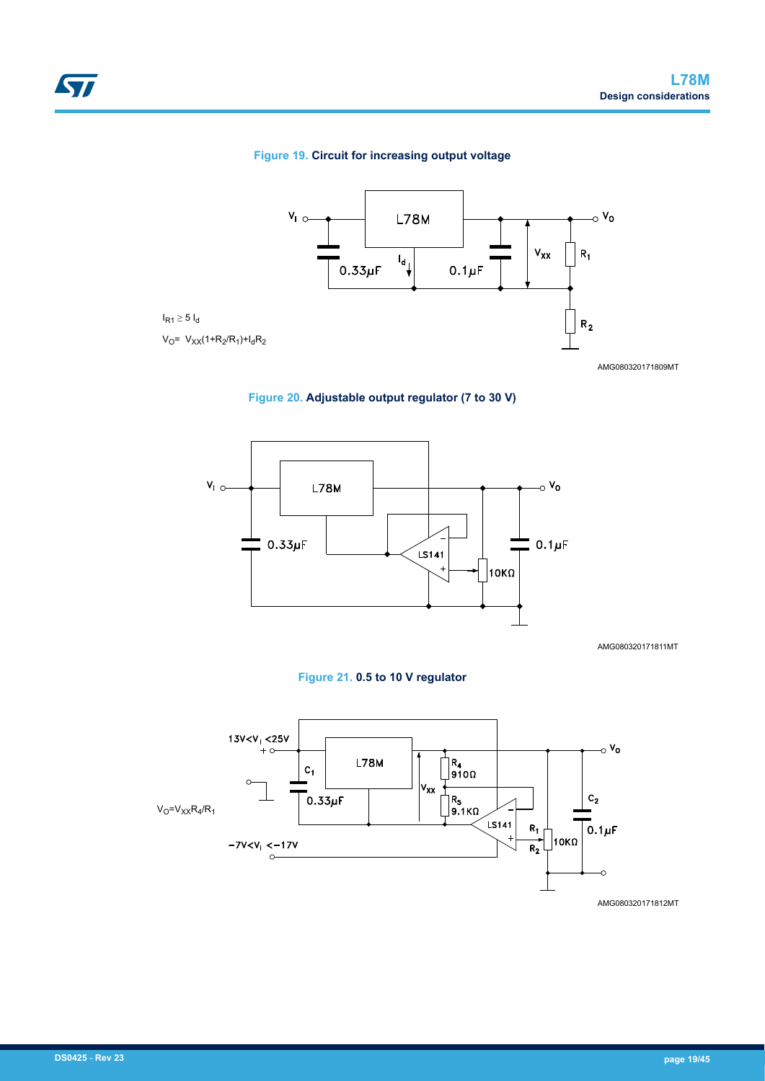#### **Figure 19. Circuit for increasing output voltage**



AMG080320171809MT

### **Figure 20. Adjustable output regulator (7 to 30 V)**



AMG080320171811MT





AMG080320171812MT

ST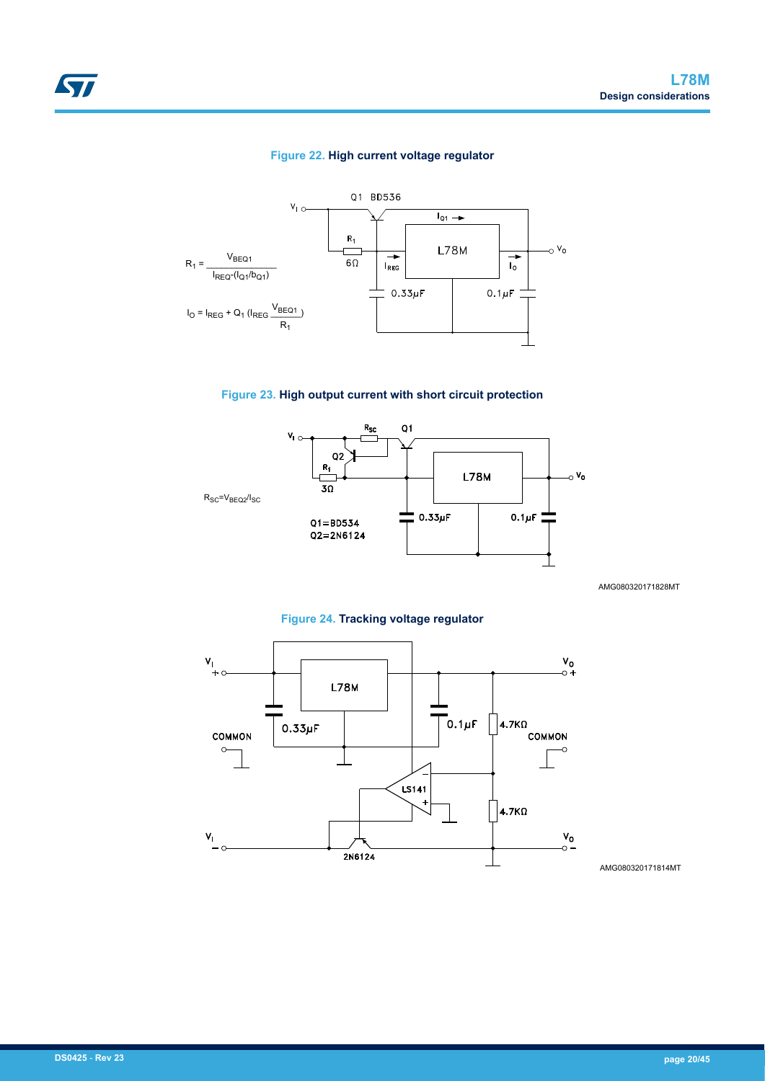#### **Figure 22. High current voltage regulator**







AMG080320171828MT





AMG080320171814MT

ST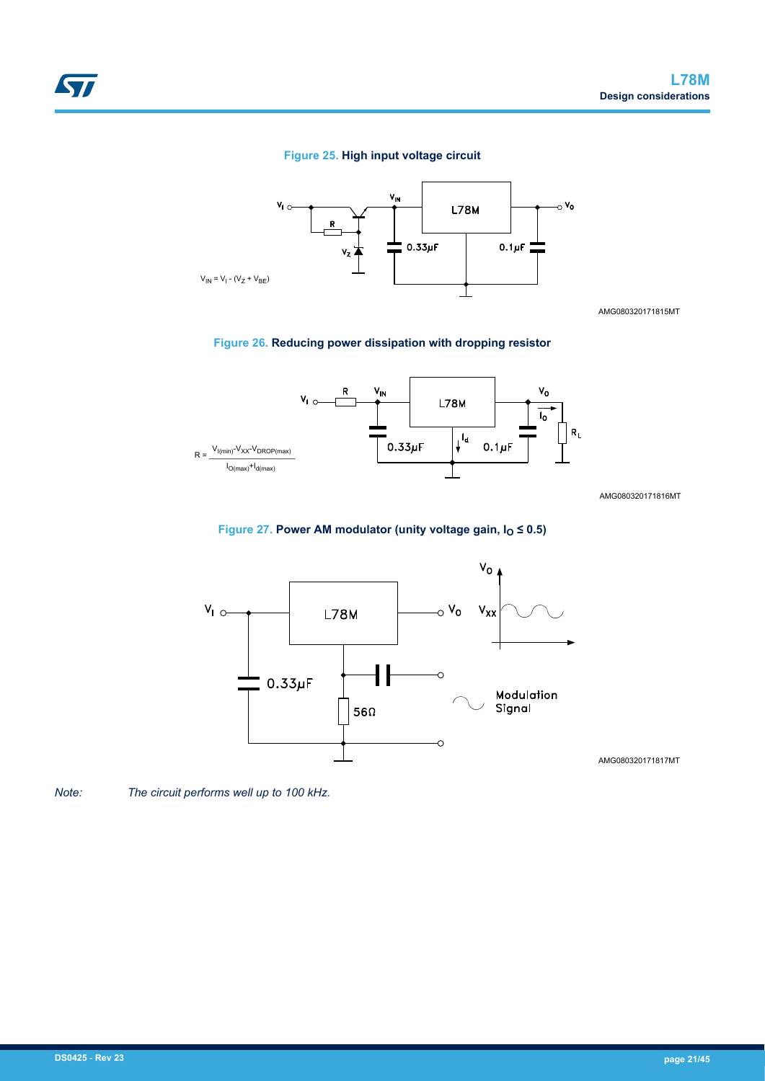#### **Figure 25. High input voltage circuit**



AMG080320171815MT

#### **Figure 26. Reducing power dissipation with dropping resistor**



AMG080320171816MT

#### **Figure 27. Power AM modulator (unity voltage gain, IO ≤ 0.5)**



AMG080320171817MT

*Note: The circuit performs well up to 100 kHz.*

57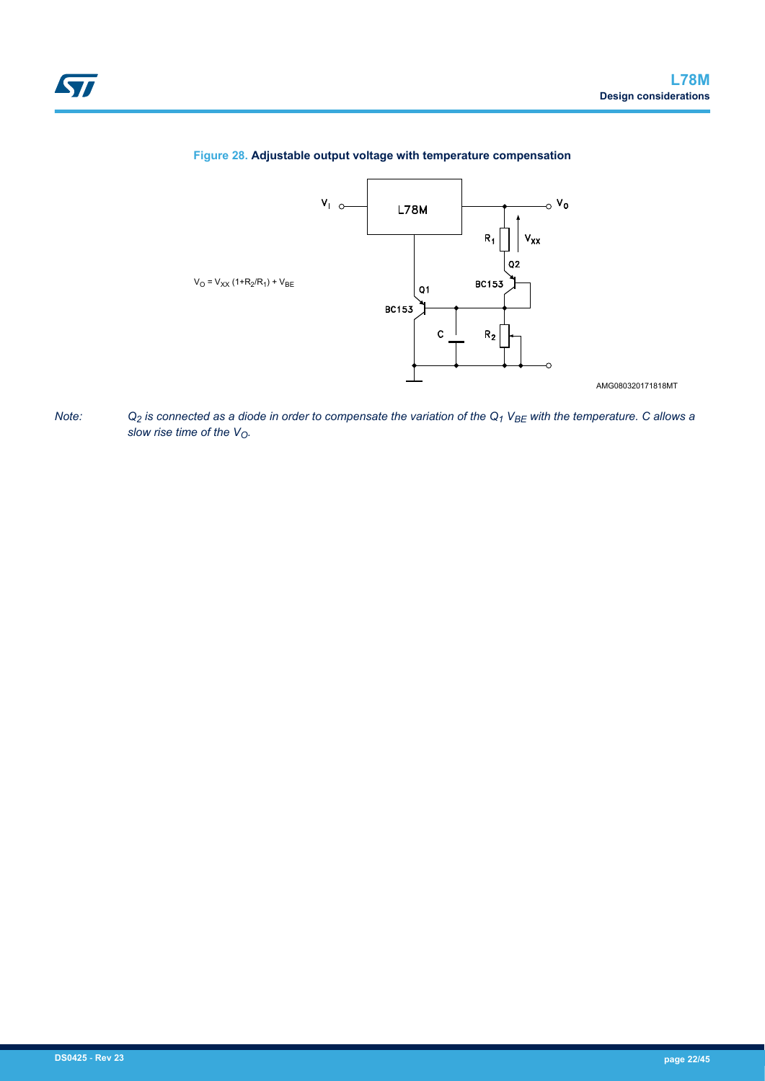

#### **Figure 28. Adjustable output voltage with temperature compensation**



AMG080320171818MT

*Note: Q2 is connected as a diode in order to compensate the variation of the Q1 VBE with the temperature. C allows a slow rise time of the VO.*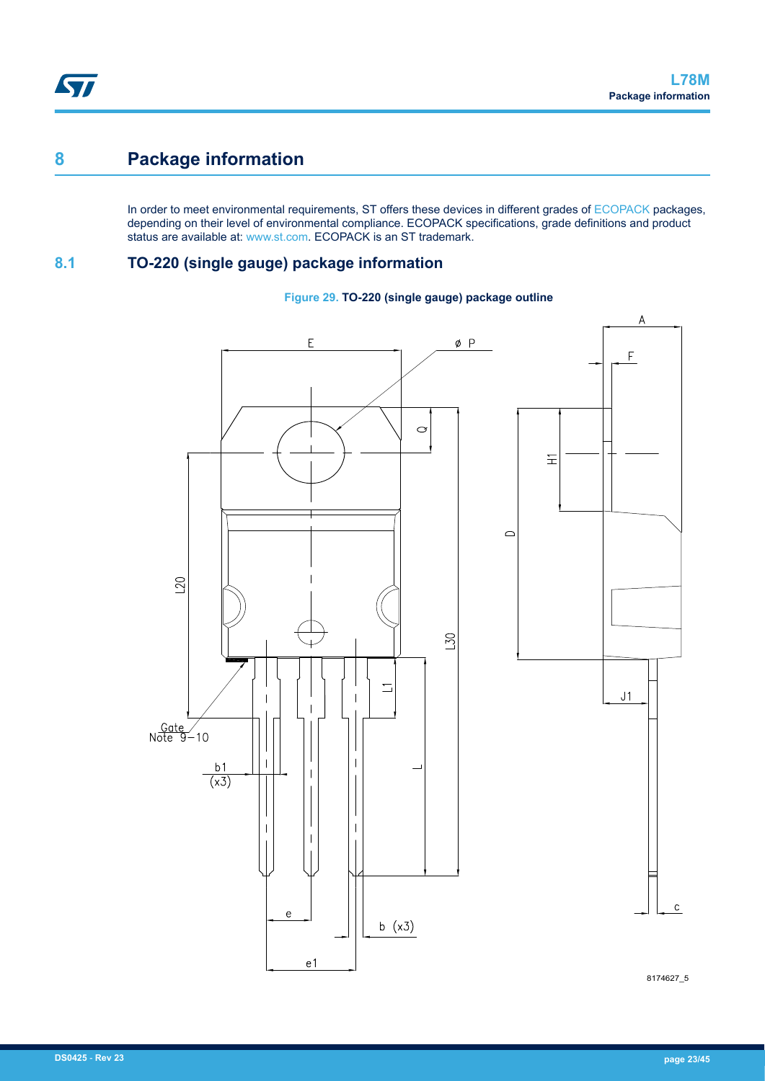## **8 Package information**

In order to meet environmental requirements, ST offers these devices in different grades of [ECOPACK](https://www.st.com/ecopack) packages, depending on their level of environmental compliance. ECOPACK specifications, grade definitions and product status are available at: [www.st.com.](http://www.st.com) ECOPACK is an ST trademark.

## **8.1 TO-220 (single gauge) package information**





8174627\_5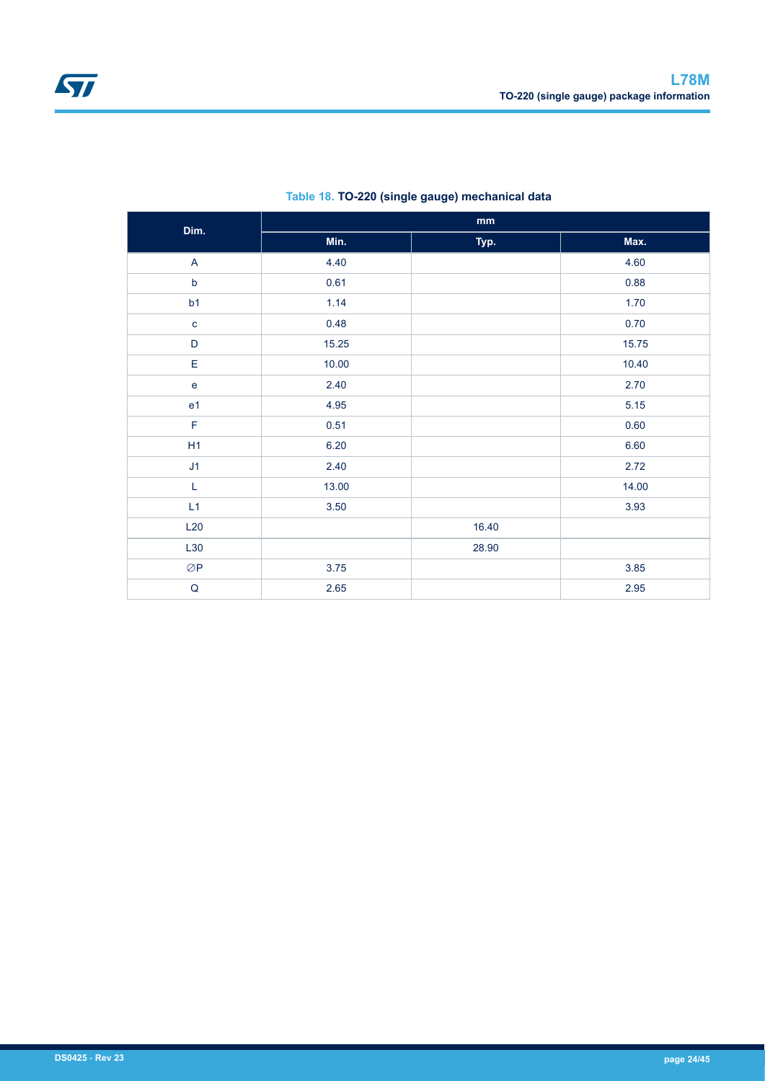| Dim.           |       | $\mathop{\text{mm}}\nolimits$ |       |
|----------------|-------|-------------------------------|-------|
|                | Min.  | Typ.                          | Max.  |
| A              | 4.40  |                               | 4.60  |
| $\sf b$        | 0.61  |                               | 0.88  |
| b1             | 1.14  |                               | 1.70  |
| $\mathbf c$    | 0.48  |                               | 0.70  |
| D              | 15.25 |                               | 15.75 |
| E              | 10.00 |                               | 10.40 |
| $\mathbf e$    | 2.40  |                               | 2.70  |
| e <sub>1</sub> | 4.95  |                               | 5.15  |
| $\mathsf F$    | 0.51  |                               | 0.60  |
| H1             | 6.20  |                               | 6.60  |
| J1             | 2.40  |                               | 2.72  |
| $\mathsf L$    | 13.00 |                               | 14.00 |
| L1             | 3.50  |                               | 3.93  |
| L20            |       | 16.40                         |       |
| L30            |       | 28.90                         |       |
| ØP             | 3.75  |                               | 3.85  |
| $\mathsf Q$    | 2.65  |                               | 2.95  |

### **Table 18. TO-220 (single gauge) mechanical data**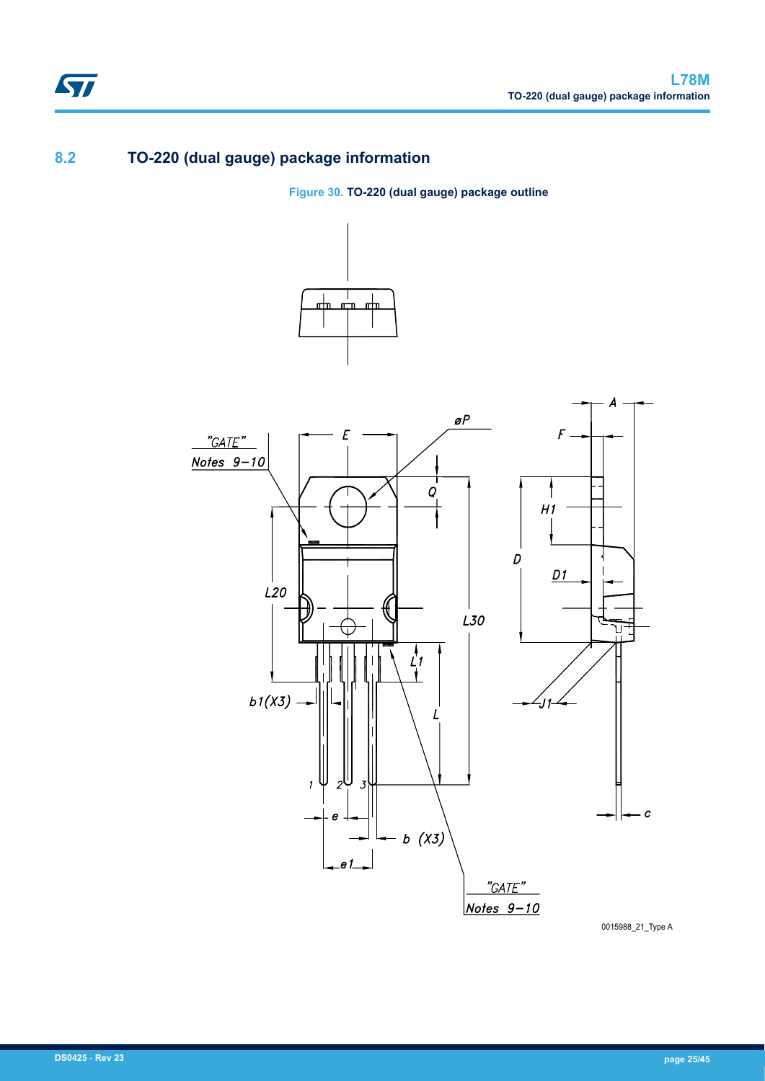## **8.2 TO-220 (dual gauge) package information**

**Figure 30. TO-220 (dual gauge) package outline**



0015988\_21\_Type A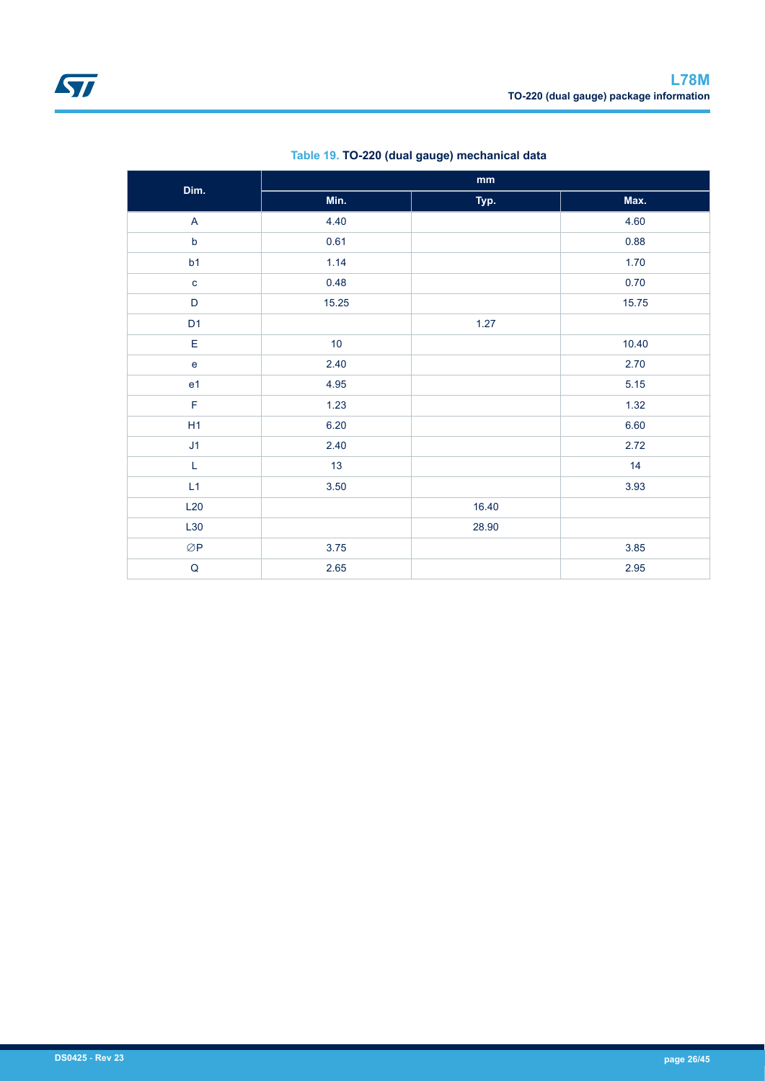| Dim.                      |       | $\mathop{\mathrm{mm}}\nolimits$ |       |
|---------------------------|-------|---------------------------------|-------|
|                           | Min.  | Typ.                            | Max.  |
| $\boldsymbol{\mathsf{A}}$ | 4.40  |                                 | 4.60  |
| $\mathsf b$               | 0.61  |                                 | 0.88  |
| b1                        | 1.14  |                                 | 1.70  |
| $\mathbf c$               | 0.48  |                                 | 0.70  |
| D                         | 15.25 |                                 | 15.75 |
| D <sub>1</sub>            |       | 1.27                            |       |
| E                         | 10    |                                 | 10.40 |
| ${\bf e}$                 | 2.40  |                                 | 2.70  |
| e <sub>1</sub>            | 4.95  |                                 | 5.15  |
| F                         | 1.23  |                                 | 1.32  |
| H1                        | 6.20  |                                 | 6.60  |
| J1                        | 2.40  |                                 | 2.72  |
| $\mathsf L$               | 13    |                                 | 14    |
| L1                        | 3.50  |                                 | 3.93  |
| L20                       |       | 16.40                           |       |
| L30                       |       | 28.90                           |       |
| $\oslash$ P               | 3.75  |                                 | 3.85  |
| $\mathsf Q$               | 2.65  |                                 | 2.95  |

### **Table 19. TO-220 (dual gauge) mechanical data**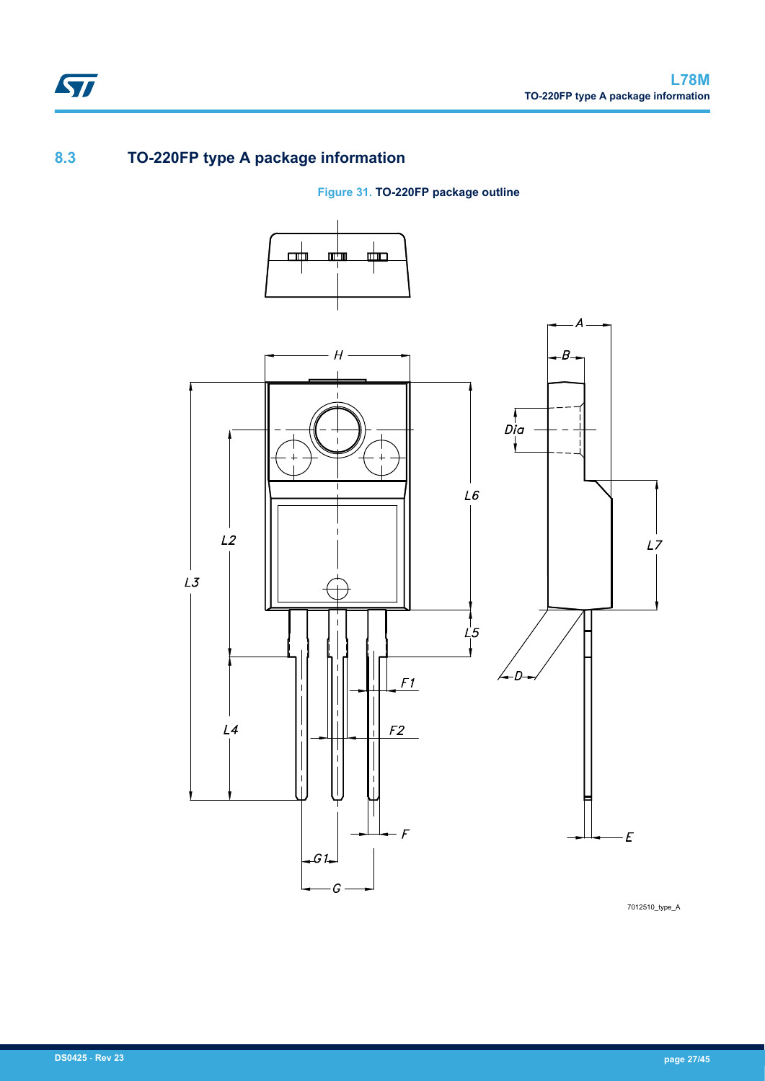## **8.3 TO-220FP type A package information**

ST

## **Figure 31. TO-220FP package outline**



7012510\_type\_A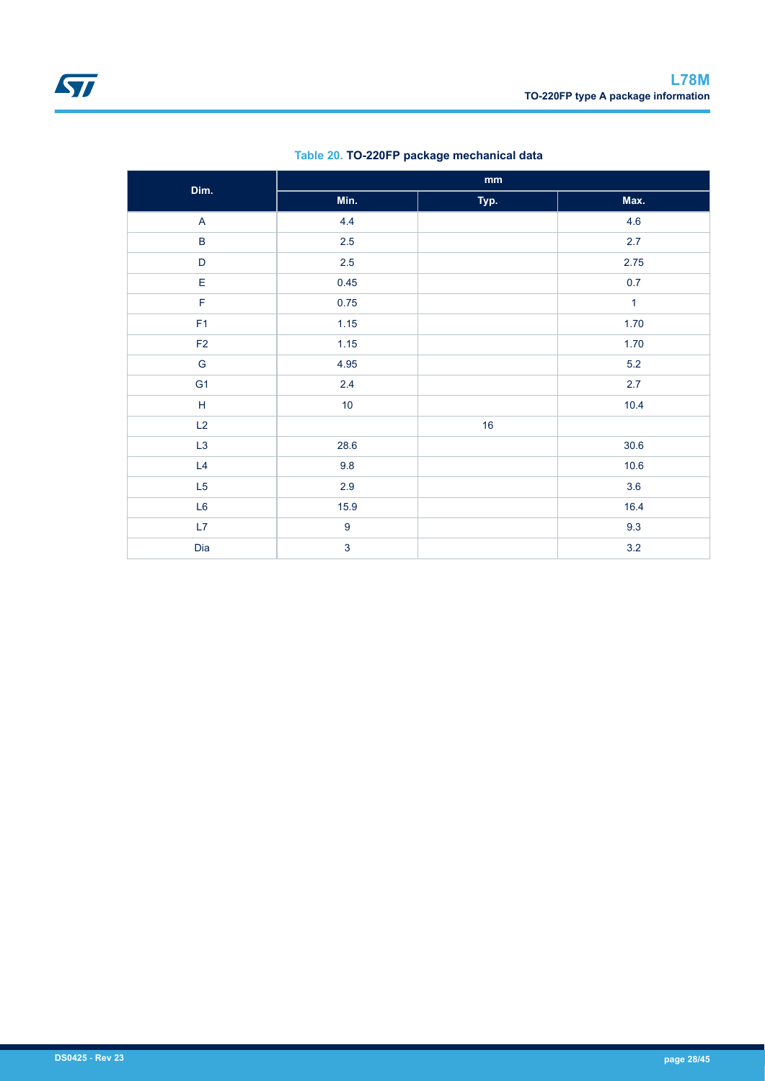| Dim.                    | $\mathop{\mathsf{mm}}\nolimits$ |      |              |  |
|-------------------------|---------------------------------|------|--------------|--|
|                         | Min.                            | Typ. | Max.         |  |
| $\overline{\mathsf{A}}$ | 4.4                             |      | 4.6          |  |
| $\sf B$                 | $2.5\,$                         |      | 2.7          |  |
| D                       | 2.5                             |      | 2.75         |  |
| E                       | 0.45                            |      | 0.7          |  |
| $\mathsf F$             | 0.75                            |      | $\mathbf{1}$ |  |
| F <sub>1</sub>          | 1.15                            |      | 1.70         |  |
| $\mathsf{F2}$           | 1.15                            |      | 1.70         |  |
| G                       | 4.95                            |      | $5.2\,$      |  |
| G <sub>1</sub>          | 2.4                             |      | 2.7          |  |
| $\mathsf H$             | 10                              |      | 10.4         |  |
| L2                      |                                 | 16   |              |  |
| L3                      | 28.6                            |      | 30.6         |  |
| L4                      | 9.8                             |      | 10.6         |  |
| L5                      | $2.9\,$                         |      | 3.6          |  |
| L6                      | 15.9                            |      | 16.4         |  |
| L7                      | $\boldsymbol{9}$                |      | 9.3          |  |
| Dia                     | $\overline{3}$                  |      | 3.2          |  |

### **Table 20. TO-220FP package mechanical data**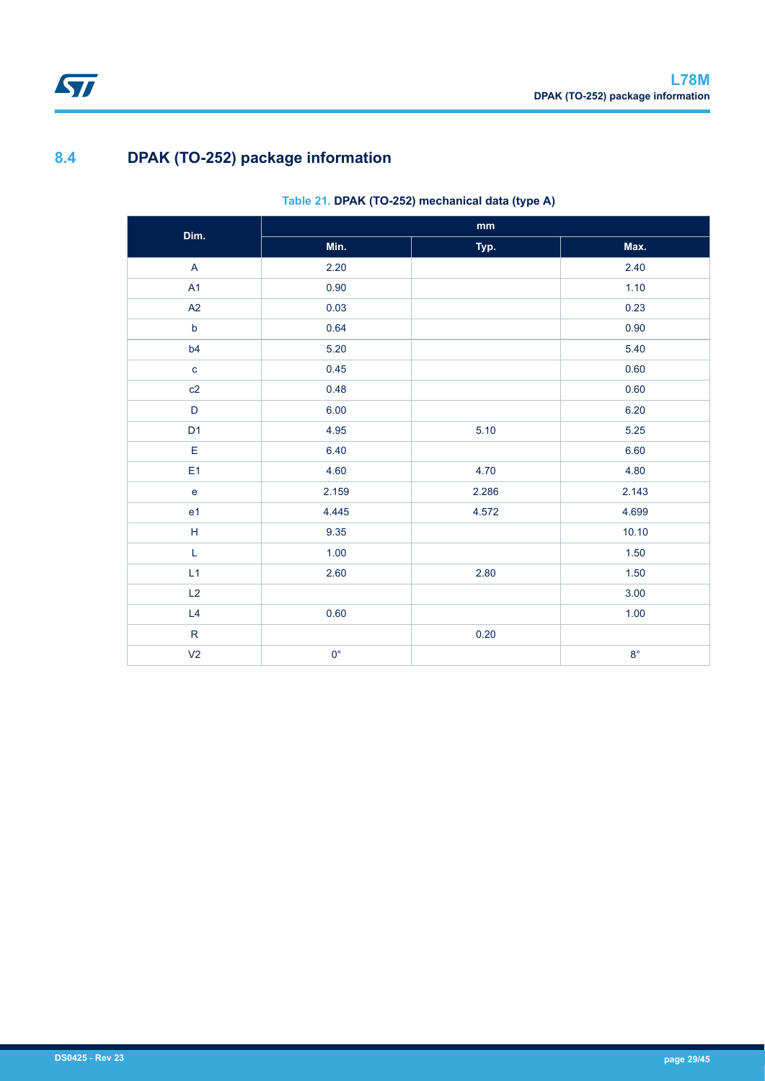## **8.4 DPAK (TO-252) package information**

### **Table 21. DPAK (TO-252) mechanical data (type A)**

| Dim.           | $\mathop{\text{mm}}\nolimits$ |       |             |  |  |
|----------------|-------------------------------|-------|-------------|--|--|
|                | Min.                          | Typ.  | Max.        |  |  |
| $\mathsf{A}$   | 2.20                          |       | 2.40        |  |  |
| A1             | 0.90                          |       | 1.10        |  |  |
| A2             | 0.03                          |       | 0.23        |  |  |
| $\mathsf b$    | 0.64                          |       | 0.90        |  |  |
| b4             | 5.20                          |       | 5.40        |  |  |
| $\mathbf c$    | 0.45                          |       | 0.60        |  |  |
| c2             | 0.48                          |       | 0.60        |  |  |
| $\mathsf D$    | 6.00                          |       | 6.20        |  |  |
| D <sub>1</sub> | 4.95                          | 5.10  | 5.25        |  |  |
| E              | 6.40                          |       | 6.60        |  |  |
| E <sub>1</sub> | 4.60                          | 4.70  | 4.80        |  |  |
| $\mathbf{e}$   | 2.159                         | 2.286 | 2.143       |  |  |
| e <sub>1</sub> | 4.445                         | 4.572 | 4.699       |  |  |
| $\mathsf H$    | 9.35                          |       | 10.10       |  |  |
| L              | 1.00                          |       | 1.50        |  |  |
| L1             | 2.60                          | 2.80  | 1.50        |  |  |
| L2             |                               |       | 3.00        |  |  |
| L4             | 0.60                          |       | 1.00        |  |  |
| ${\sf R}$      |                               | 0.20  |             |  |  |
| V <sub>2</sub> | $0^{\circ}$                   |       | $8^{\circ}$ |  |  |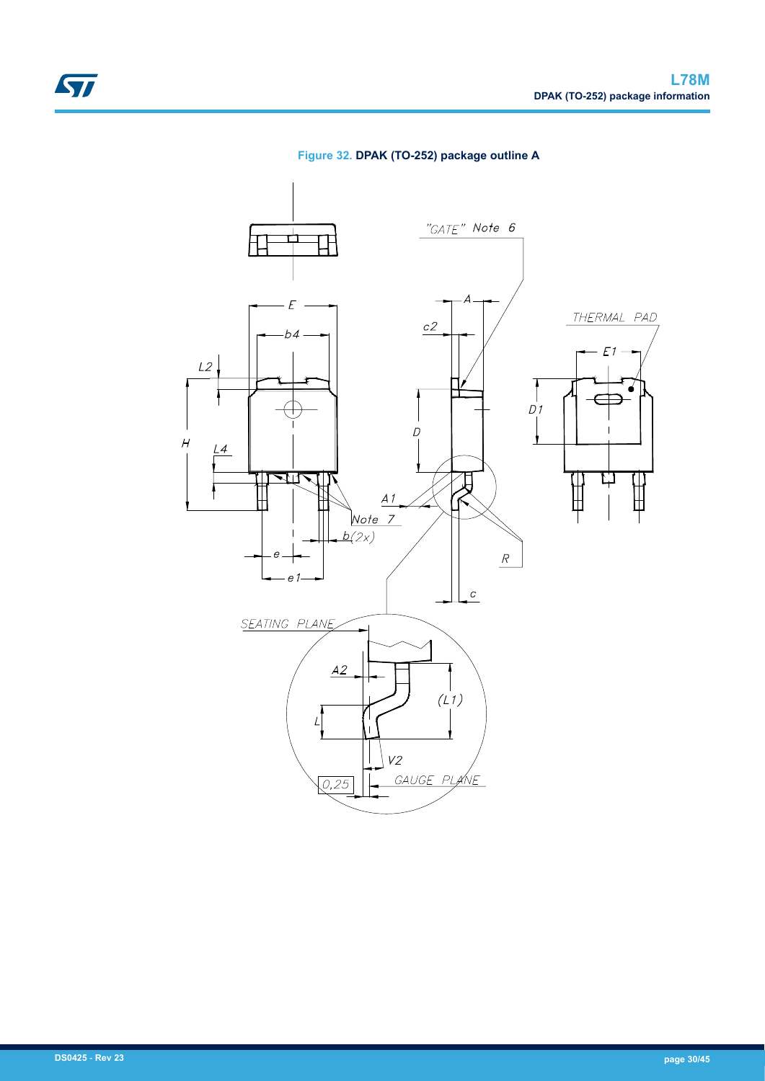

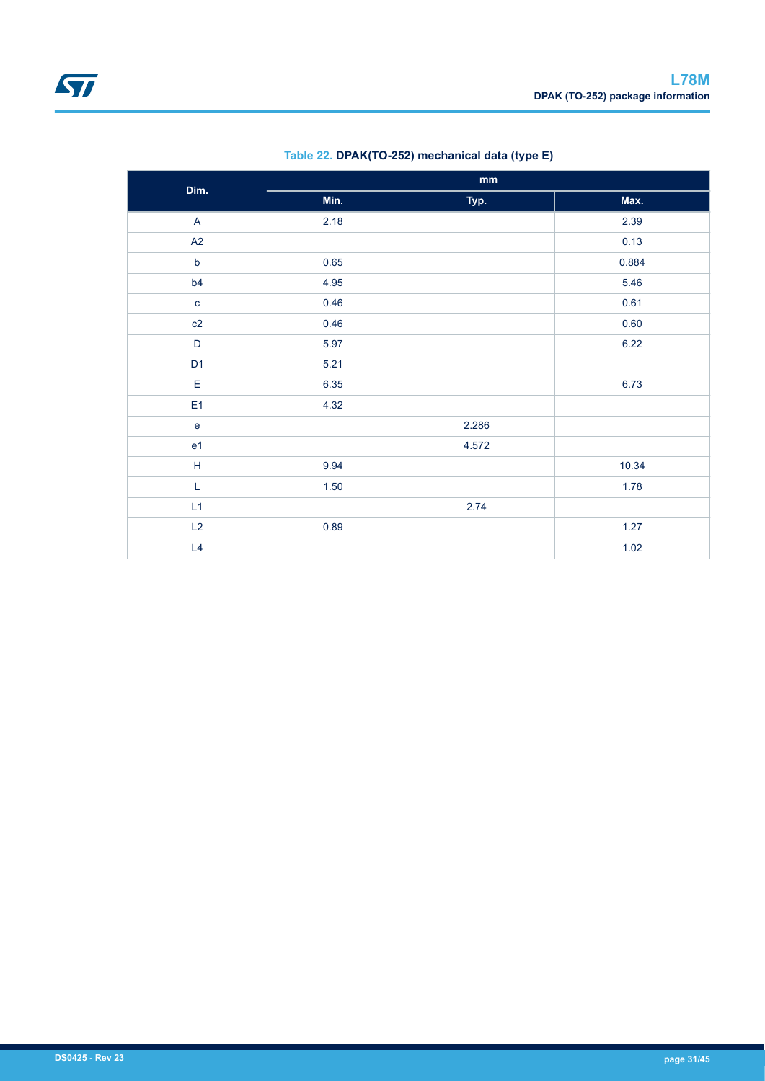| Dim.                      | mm   |       |       |  |  |
|---------------------------|------|-------|-------|--|--|
|                           | Min. | Typ.  | Max.  |  |  |
| $\boldsymbol{\mathsf{A}}$ | 2.18 |       | 2.39  |  |  |
| A2                        |      |       | 0.13  |  |  |
| $\mathsf b$               | 0.65 |       | 0.884 |  |  |
| b4                        | 4.95 |       | 5.46  |  |  |
| $\mathbf c$               | 0.46 |       | 0.61  |  |  |
| c2                        | 0.46 |       | 0.60  |  |  |
| $\mathsf D$               | 5.97 |       | 6.22  |  |  |
| D <sub>1</sub>            | 5.21 |       |       |  |  |
| $\mathsf E$               | 6.35 |       | 6.73  |  |  |
| E <sub>1</sub>            | 4.32 |       |       |  |  |
| $\mathbf{e}$              |      | 2.286 |       |  |  |
| e <sub>1</sub>            |      | 4.572 |       |  |  |
| $\mathsf H$               | 9.94 |       | 10.34 |  |  |
| L                         | 1.50 |       | 1.78  |  |  |
| L1                        |      | 2.74  |       |  |  |
| L2                        | 0.89 |       | 1.27  |  |  |
| L4                        |      |       | 1.02  |  |  |

### **Table 22. DPAK(TO-252) mechanical data (type E)**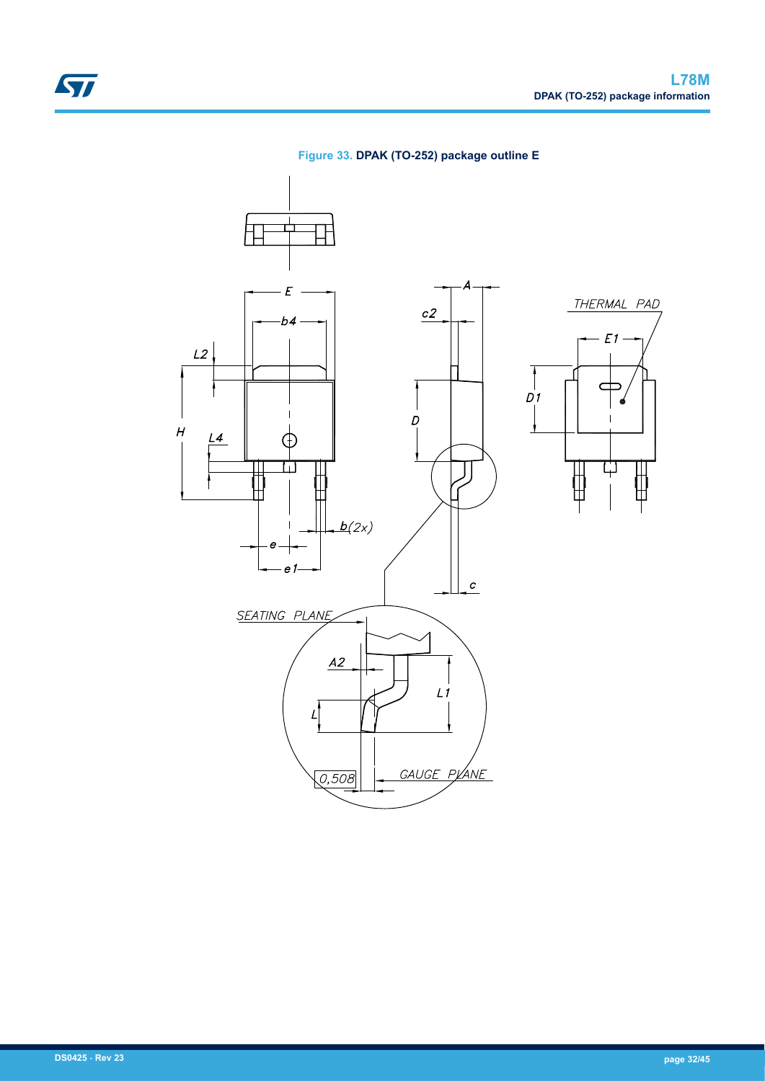

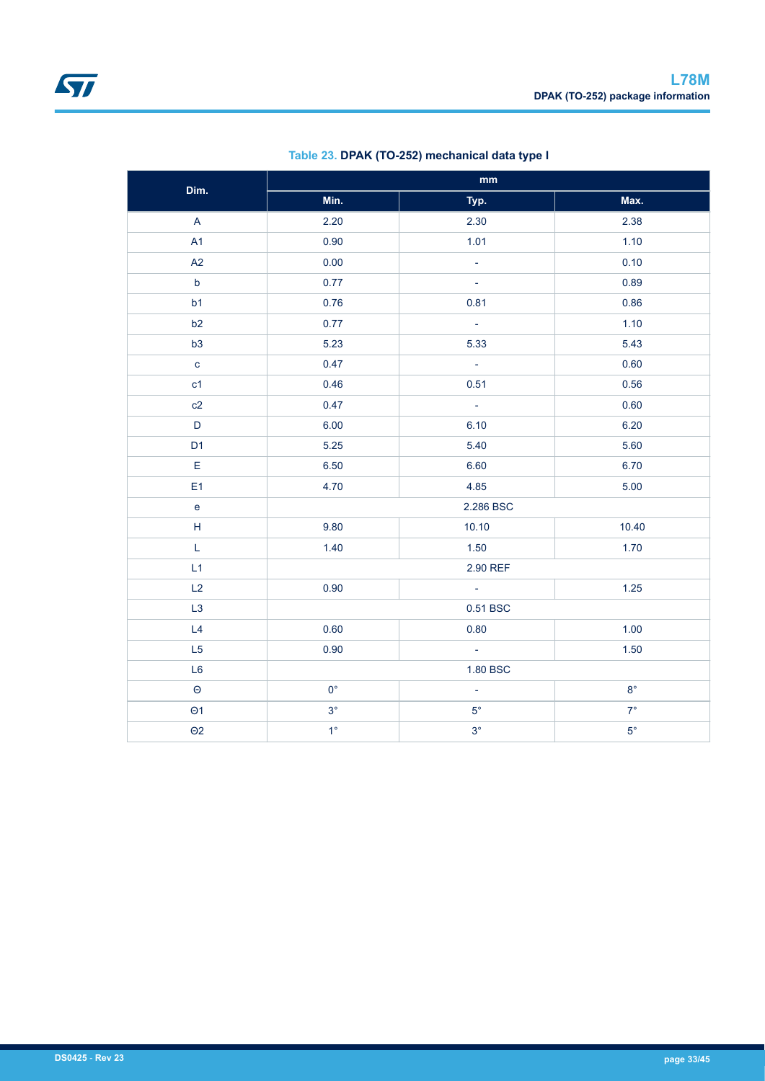| Dim.           | $\mathop{\rm mm}\nolimits$ |                  |             |  |  |
|----------------|----------------------------|------------------|-------------|--|--|
|                | Min.                       | Typ.             | Max.        |  |  |
| $\mathsf{A}$   | 2.20                       | 2.30             | 2.38        |  |  |
| A1             | 0.90                       | 1.01             | 1.10        |  |  |
| A2             | 0.00                       | $\equiv$         | 0.10        |  |  |
| $\mathsf b$    | 0.77                       | $\omega$         | 0.89        |  |  |
| b <sub>1</sub> | 0.76                       | 0.81             | 0.86        |  |  |
| b2             | 0.77                       | $\mathbb{Z}^+$   | 1.10        |  |  |
| b3             | 5.23                       | 5.33             | 5.43        |  |  |
| $\mathbf{c}$   | 0.47                       | $\omega$         | 0.60        |  |  |
| c1             | 0.46                       | 0.51             | 0.56        |  |  |
| c2             | 0.47                       | $\omega$         | 0.60        |  |  |
| D              | 6.00                       | 6.10             | 6.20        |  |  |
| D <sub>1</sub> | 5.25                       | 5.40             | 5.60        |  |  |
| $\mathsf E$    | 6.50                       | 6.60             | 6.70        |  |  |
| E <sub>1</sub> | 4.70                       | 4.85             | 5.00        |  |  |
| $\mathbf{e}$   |                            | 2.286 BSC        |             |  |  |
| H              | 9.80                       | 10.10            | 10.40       |  |  |
| L              | 1.40                       | 1.50             | 1.70        |  |  |
| L1             |                            | 2.90 REF         |             |  |  |
| L2             | 0.90                       | $\omega$         | 1.25        |  |  |
| L3             |                            | 0.51 BSC         |             |  |  |
| L4             | 0.60                       | 0.80             | 1.00        |  |  |
| L <sub>5</sub> | 0.90                       | $\omega_{\rm c}$ | 1.50        |  |  |
| L <sub>6</sub> |                            | 1.80 BSC         |             |  |  |
| $\Theta$       | $0^{\circ}$                | $\omega$         | $8^{\circ}$ |  |  |
| $\Theta$ 1     | $3^\circ$                  | $5^{\circ}$      | $7^\circ$   |  |  |
| $\Theta$ 2     | $1^{\circ}$                | $3^\circ$        | $5^{\circ}$ |  |  |

### **Table 23. DPAK (TO-252) mechanical data type I**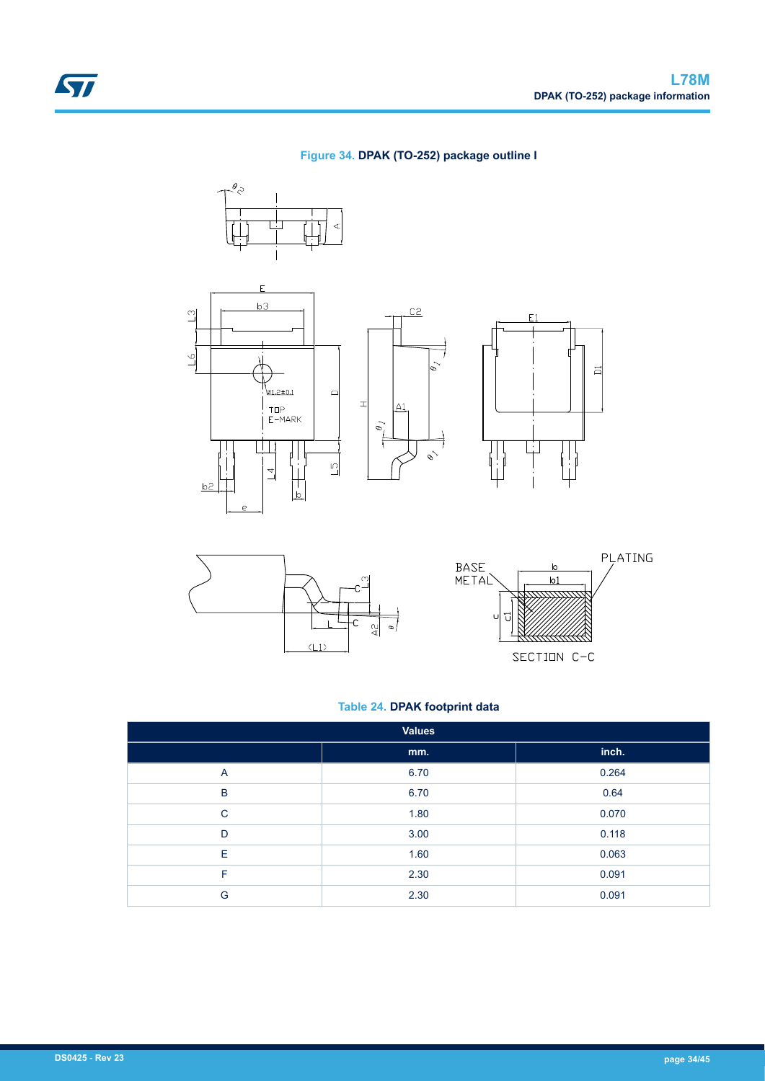### **Figure 34. DPAK (TO-252) package outline I**

 $C<sub>2</sub>$ 

7

 $\sim$ 











### **Table 24. DPAK footprint data**

| <b>Values</b>  |      |       |  |  |
|----------------|------|-------|--|--|
|                | mm.  | inch. |  |  |
| $\overline{A}$ | 6.70 | 0.264 |  |  |
| B              | 6.70 | 0.64  |  |  |
| $\mathsf{C}$   | 1.80 | 0.070 |  |  |
| D              | 3.00 | 0.118 |  |  |
| Ε              | 1.60 | 0.063 |  |  |
| F              | 2.30 | 0.091 |  |  |
| G              | 2.30 | 0.091 |  |  |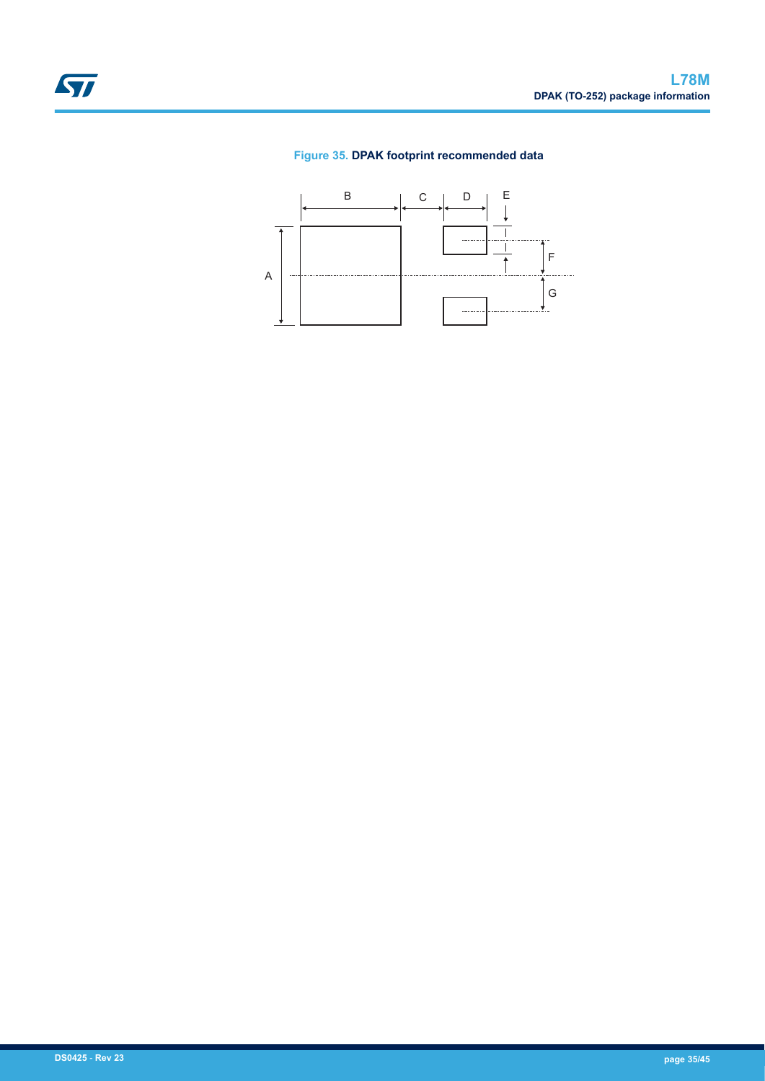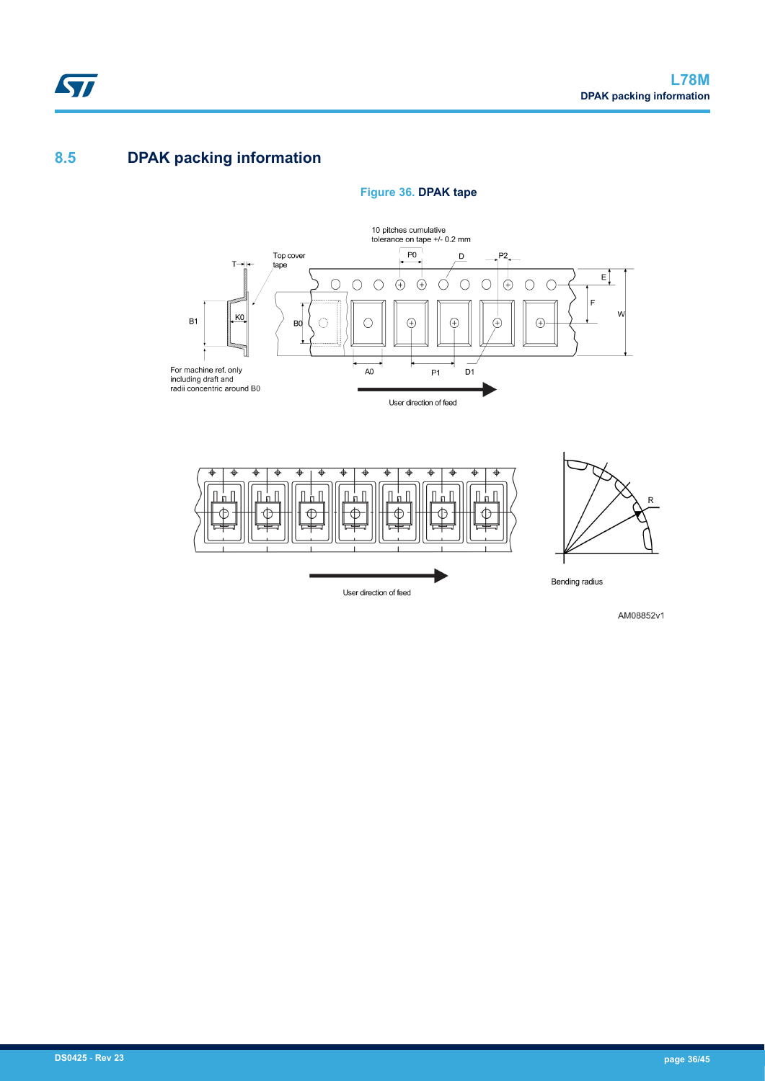## **8.5 DPAK packing information**

 $\sqrt{2}$ 



### **Figure 36. DPAK tape**

AM08852v1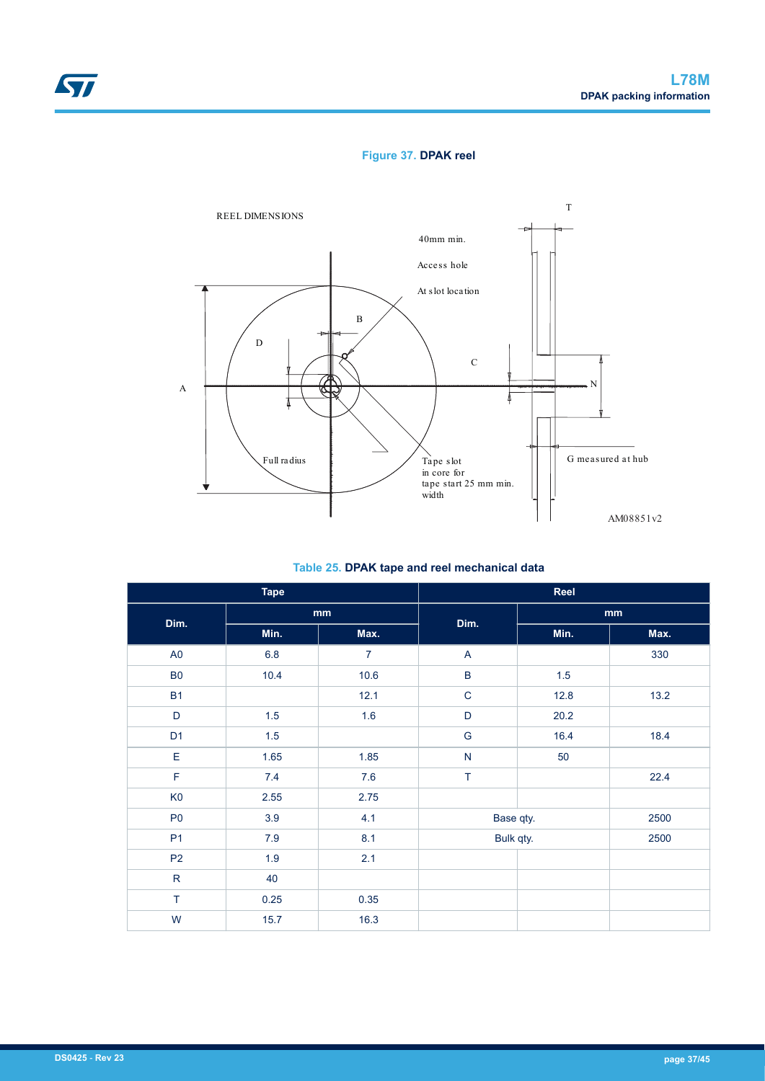### **Figure 37. DPAK reel**



**Table 25. DPAK tape and reel mechanical data**

| <b>Tape</b>    |         |                | Reel         |      |      |
|----------------|---------|----------------|--------------|------|------|
| Dim.           | mm      |                | Dim.         | mm   |      |
|                | Min.    | Max.           |              | Min. | Max. |
| $\mathsf{A}0$  | $6.8\,$ | $\overline{7}$ | $\mathsf{A}$ |      | 330  |
| <b>B0</b>      | 10.4    | 10.6           | $\sf B$      | 1.5  |      |
| <b>B1</b>      |         | 12.1           | $\mathsf C$  | 12.8 | 13.2 |
| $\mathsf D$    | 1.5     | 1.6            | $\mathsf D$  | 20.2 |      |
| D <sub>1</sub> | 1.5     |                | G            | 16.4 | 18.4 |
| $\mathsf E$    | 1.65    | 1.85           | ${\sf N}$    | 50   |      |
| $\mathsf F$    | 7.4     | 7.6            | $\top$       |      | 22.4 |
| K <sub>0</sub> | 2.55    | 2.75           |              |      |      |
| P <sub>0</sub> | 3.9     | 4.1            | Base qty.    |      | 2500 |
| P <sub>1</sub> | 7.9     | 8.1            | Bulk qty.    |      | 2500 |
| P <sub>2</sub> | 1.9     | 2.1            |              |      |      |
| ${\sf R}$      | 40      |                |              |      |      |
| $\top$         | 0.25    | 0.35           |              |      |      |
| W              | 15.7    | 16.3           |              |      |      |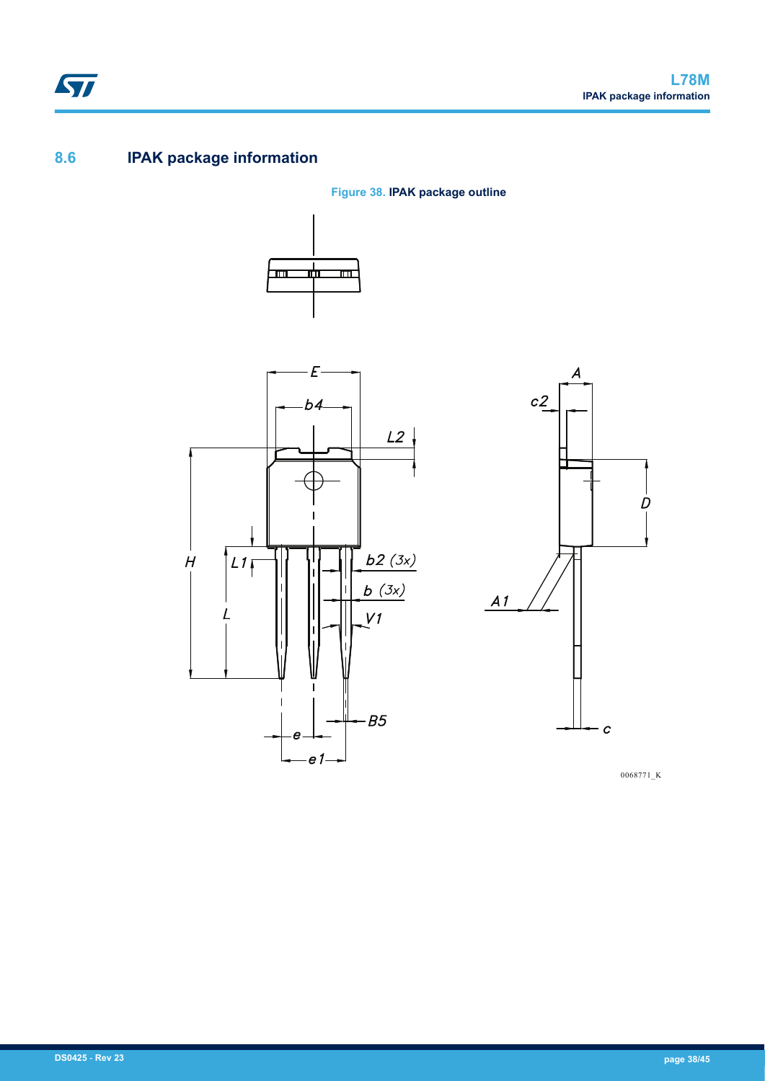## **8.6 IPAK package information**









0068771\_K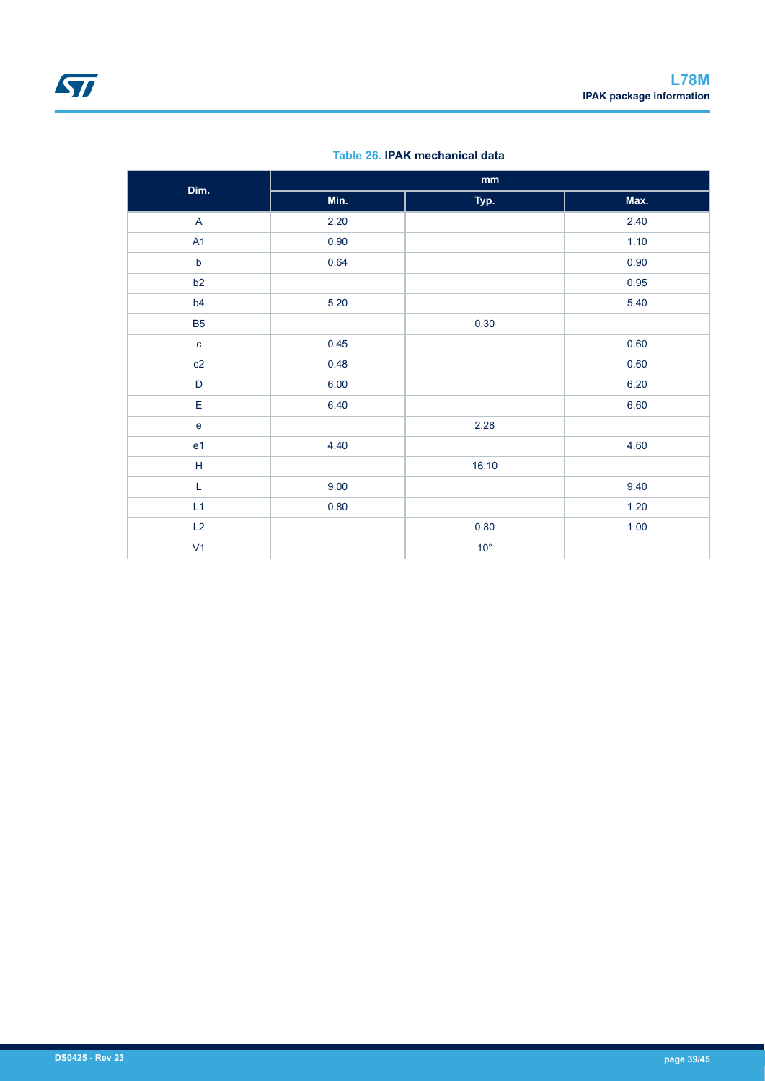| Dim.                              | $\mathop{\text{mm}}\nolimits$ |              |        |  |  |
|-----------------------------------|-------------------------------|--------------|--------|--|--|
|                                   | Min.                          | Typ.         | Max.   |  |  |
| $\overline{A}$                    | 2.20                          |              | 2.40   |  |  |
| A1                                | 0.90                          |              | 1.10   |  |  |
| $\mathsf b$                       | 0.64                          |              | 0.90   |  |  |
| b2                                |                               |              | 0.95   |  |  |
| b4                                | 5.20                          |              | 5.40   |  |  |
| <b>B5</b>                         |                               | 0.30         |        |  |  |
| $\mathbf{C}$                      | 0.45                          |              | 0.60   |  |  |
| c2                                | 0.48                          |              | 0.60   |  |  |
| $\mathsf D$                       | 6.00                          |              | 6.20   |  |  |
| E                                 | 6.40                          |              | 6.60   |  |  |
| $\mathsf{e}% _{t}\left( t\right)$ |                               | 2.28         |        |  |  |
| e <sub>1</sub>                    | 4.40                          |              | 4.60   |  |  |
| $\mathsf H$                       |                               | 16.10        |        |  |  |
| L                                 | 9.00                          |              | 9.40   |  |  |
| L1                                | 0.80                          |              | 1.20   |  |  |
| L2                                |                               | 0.80         | $1.00$ |  |  |
| V <sub>1</sub>                    |                               | $10^{\circ}$ |        |  |  |

### **Table 26. IPAK mechanical data**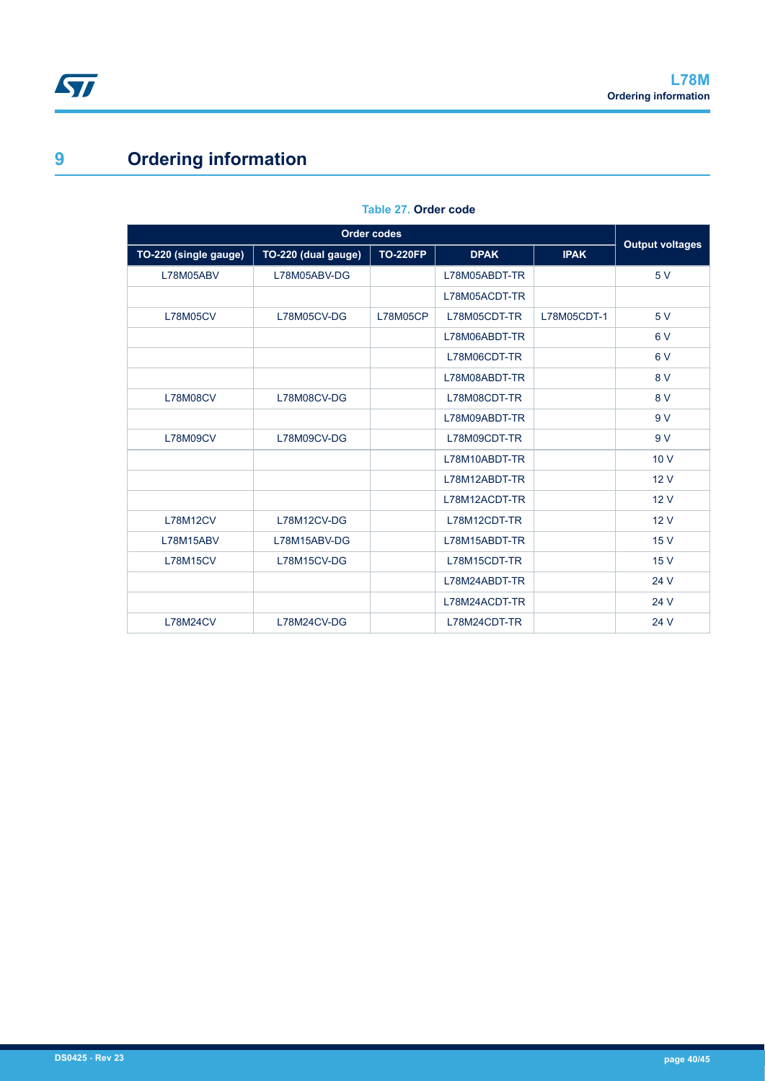# **9 Ordering information**

| TO-220 (single gauge) | TO-220 (dual gauge) | <b>TO-220FP</b> | <b>DPAK</b>   | <b>IPAK</b> | <b>Output voltages</b> |
|-----------------------|---------------------|-----------------|---------------|-------------|------------------------|
| L78M05ABV             | L78M05ABV-DG        |                 | L78M05ABDT-TR |             | 5 V                    |
|                       |                     |                 | L78M05ACDT-TR |             |                        |
| <b>L78M05CV</b>       | L78M05CV-DG         | <b>L78M05CP</b> | L78M05CDT-TR  | L78M05CDT-1 | 5 V                    |
|                       |                     |                 | L78M06ABDT-TR |             | 6V                     |
|                       |                     |                 | L78M06CDT-TR  |             | 6V                     |
|                       |                     |                 | L78M08ABDT-TR |             | 8 V                    |
| <b>L78M08CV</b>       | L78M08CV-DG         |                 | L78M08CDT-TR  |             | 8 V                    |
|                       |                     |                 | L78M09ABDT-TR |             | 9 V                    |
| <b>L78M09CV</b>       | L78M09CV-DG         |                 | L78M09CDT-TR  |             | 9 V                    |
|                       |                     |                 | L78M10ABDT-TR |             | 10V                    |
|                       |                     |                 | L78M12ABDT-TR |             | 12V                    |
|                       |                     |                 | L78M12ACDT-TR |             | 12V                    |
| <b>L78M12CV</b>       | L78M12CV-DG         |                 | L78M12CDT-TR  |             | 12V                    |
| L78M15ABV             | L78M15ABV-DG        |                 | L78M15ABDT-TR |             | 15 V                   |
| <b>L78M15CV</b>       | L78M15CV-DG         |                 | L78M15CDT-TR  |             | 15 V                   |
|                       |                     |                 | L78M24ABDT-TR |             | 24 V                   |
|                       |                     |                 | L78M24ACDT-TR |             | 24 V                   |
| <b>L78M24CV</b>       | L78M24CV-DG         |                 | L78M24CDT-TR  |             | 24 V                   |

#### **Table 27. Order code**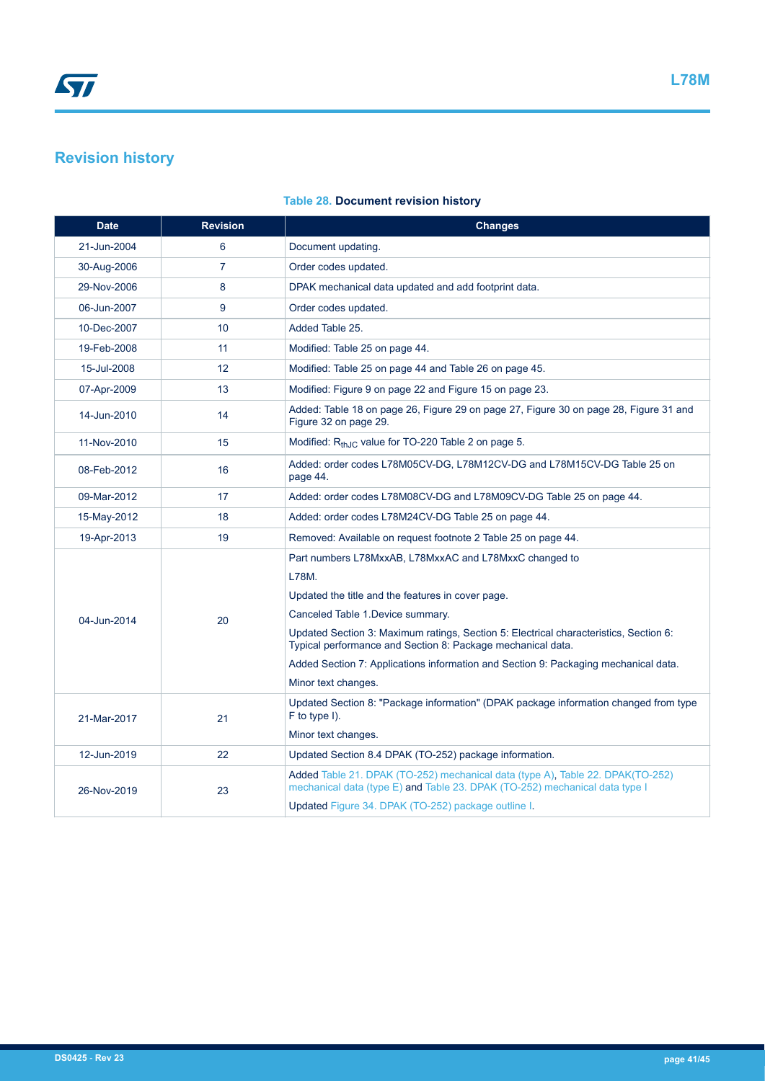## **Revision history**

| <b>Date</b> | <b>Revision</b> | <b>Changes</b>                                                                                                                                                                                                                                                                                                                                                                                                                 |
|-------------|-----------------|--------------------------------------------------------------------------------------------------------------------------------------------------------------------------------------------------------------------------------------------------------------------------------------------------------------------------------------------------------------------------------------------------------------------------------|
| 21-Jun-2004 | 6               | Document updating.                                                                                                                                                                                                                                                                                                                                                                                                             |
| 30-Aug-2006 | $\overline{7}$  | Order codes updated.                                                                                                                                                                                                                                                                                                                                                                                                           |
| 29-Nov-2006 | 8               | DPAK mechanical data updated and add footprint data.                                                                                                                                                                                                                                                                                                                                                                           |
| 06-Jun-2007 | 9               | Order codes updated.                                                                                                                                                                                                                                                                                                                                                                                                           |
| 10-Dec-2007 | 10              | Added Table 25.                                                                                                                                                                                                                                                                                                                                                                                                                |
| 19-Feb-2008 | 11              | Modified: Table 25 on page 44.                                                                                                                                                                                                                                                                                                                                                                                                 |
| 15-Jul-2008 | 12              | Modified: Table 25 on page 44 and Table 26 on page 45.                                                                                                                                                                                                                                                                                                                                                                         |
| 07-Apr-2009 | 13              | Modified: Figure 9 on page 22 and Figure 15 on page 23.                                                                                                                                                                                                                                                                                                                                                                        |
| 14-Jun-2010 | 14              | Added: Table 18 on page 26, Figure 29 on page 27, Figure 30 on page 28, Figure 31 and<br>Figure 32 on page 29.                                                                                                                                                                                                                                                                                                                 |
| 11-Nov-2010 | 15              | Modified: R <sub>thJC</sub> value for TO-220 Table 2 on page 5.                                                                                                                                                                                                                                                                                                                                                                |
| 08-Feb-2012 | 16              | Added: order codes L78M05CV-DG, L78M12CV-DG and L78M15CV-DG Table 25 on<br>page 44.                                                                                                                                                                                                                                                                                                                                            |
| 09-Mar-2012 | 17              | Added: order codes L78M08CV-DG and L78M09CV-DG Table 25 on page 44.                                                                                                                                                                                                                                                                                                                                                            |
| 15-May-2012 | 18              | Added: order codes L78M24CV-DG Table 25 on page 44.                                                                                                                                                                                                                                                                                                                                                                            |
| 19-Apr-2013 | 19              | Removed: Available on request footnote 2 Table 25 on page 44.                                                                                                                                                                                                                                                                                                                                                                  |
| 04-Jun-2014 | 20              | Part numbers L78MxxAB, L78MxxAC and L78MxxC changed to<br>L78M.<br>Updated the title and the features in cover page.<br>Canceled Table 1 Device summary.<br>Updated Section 3: Maximum ratings, Section 5: Electrical characteristics, Section 6:<br>Typical performance and Section 8: Package mechanical data.<br>Added Section 7: Applications information and Section 9: Packaging mechanical data.<br>Minor text changes. |
| 21-Mar-2017 | 21              | Updated Section 8: "Package information" (DPAK package information changed from type<br>F to type I).<br>Minor text changes.                                                                                                                                                                                                                                                                                                   |
| 12-Jun-2019 | 22              | Updated Section 8.4 DPAK (TO-252) package information.                                                                                                                                                                                                                                                                                                                                                                         |
| 26-Nov-2019 | 23              | Added Table 21. DPAK (TO-252) mechanical data (type A). Table 22. DPAK(TO-252)<br>mechanical data (type E) and Table 23. DPAK (TO-252) mechanical data type I<br>Updated Figure 34. DPAK (TO-252) package outline I.                                                                                                                                                                                                           |

### **Table 28. Document revision history**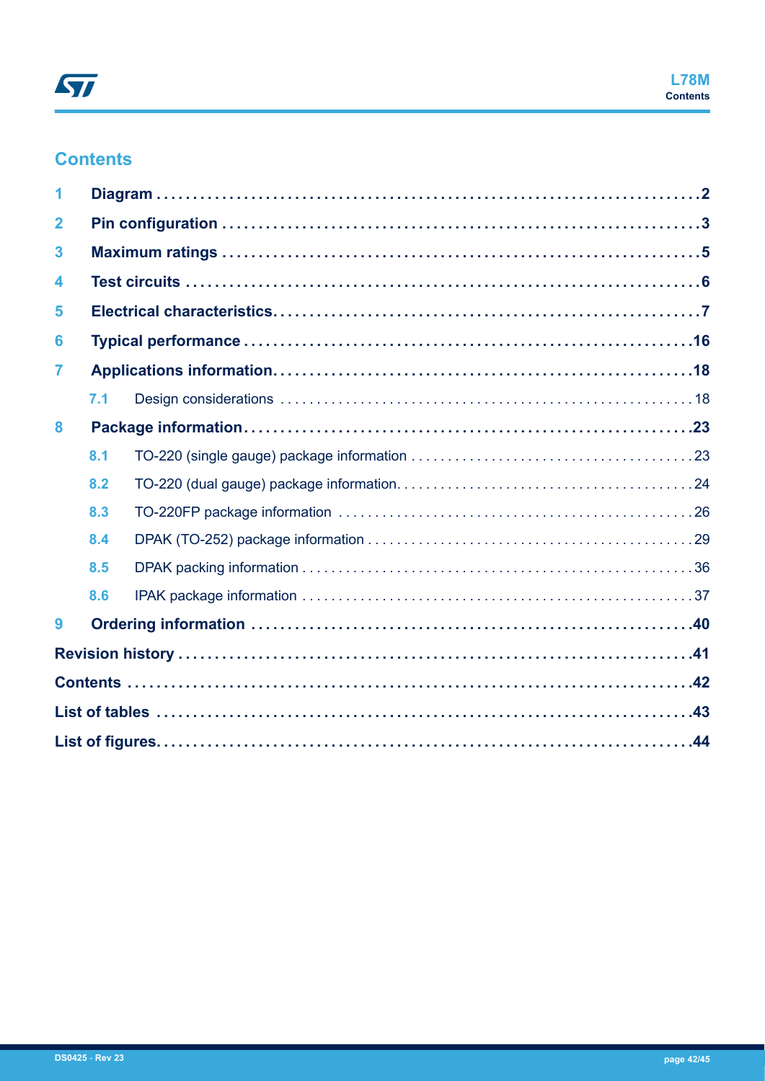## **Contents**

| $\mathbf{2}$     |     |  |
|------------------|-----|--|
| 3                |     |  |
| $\blacktriangle$ |     |  |
| 5                |     |  |
| 6                |     |  |
| 7                |     |  |
|                  | 7.1 |  |
| 8                |     |  |
|                  | 8.1 |  |
|                  | 8.2 |  |
|                  | 8.3 |  |
|                  | 8.4 |  |
|                  | 8.5 |  |
|                  | 8.6 |  |
| 9                |     |  |
|                  |     |  |
|                  |     |  |
|                  |     |  |
|                  |     |  |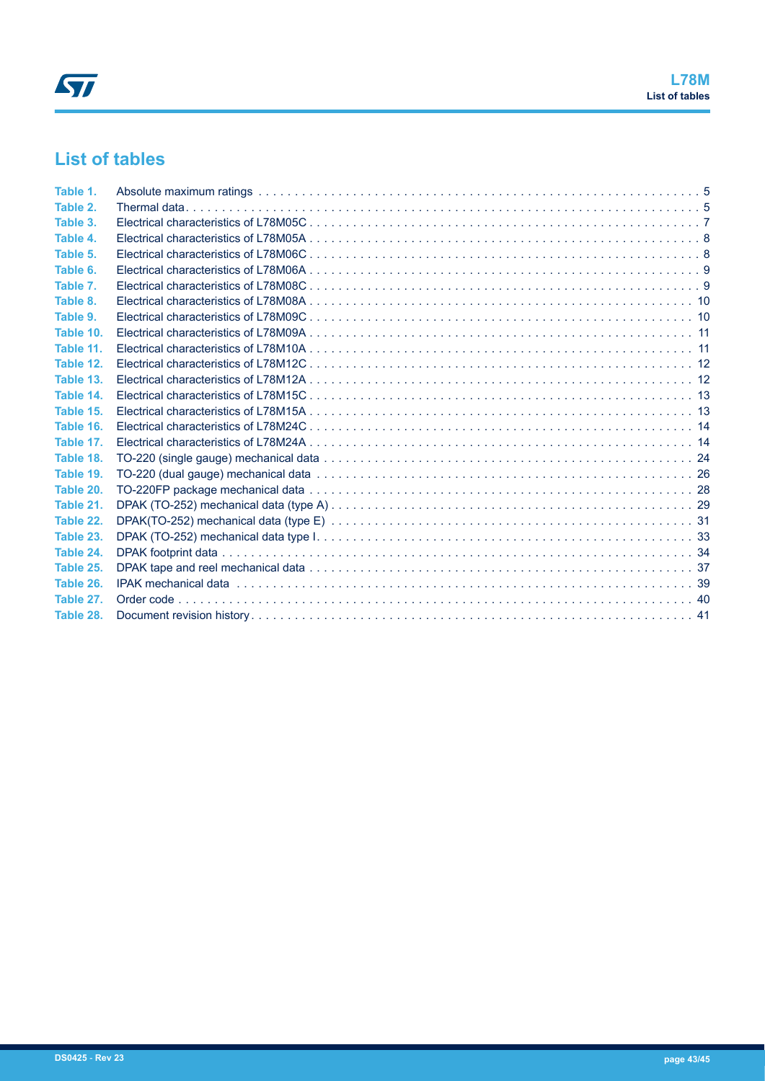## **List of tables**

| Table 1.  |  |
|-----------|--|
| Table 2.  |  |
| Table 3.  |  |
| Table 4.  |  |
| Table 5.  |  |
| Table 6.  |  |
| Table 7.  |  |
| Table 8.  |  |
| Table 9.  |  |
| Table 10. |  |
| Table 11. |  |
| Table 12. |  |
| Table 13. |  |
| Table 14. |  |
| Table 15. |  |
| Table 16. |  |
| Table 17. |  |
| Table 18. |  |
| Table 19. |  |
| Table 20. |  |
| Table 21. |  |
| Table 22. |  |
| Table 23. |  |
| Table 24. |  |
| Table 25. |  |
| Table 26. |  |
| Table 27. |  |
| Table 28. |  |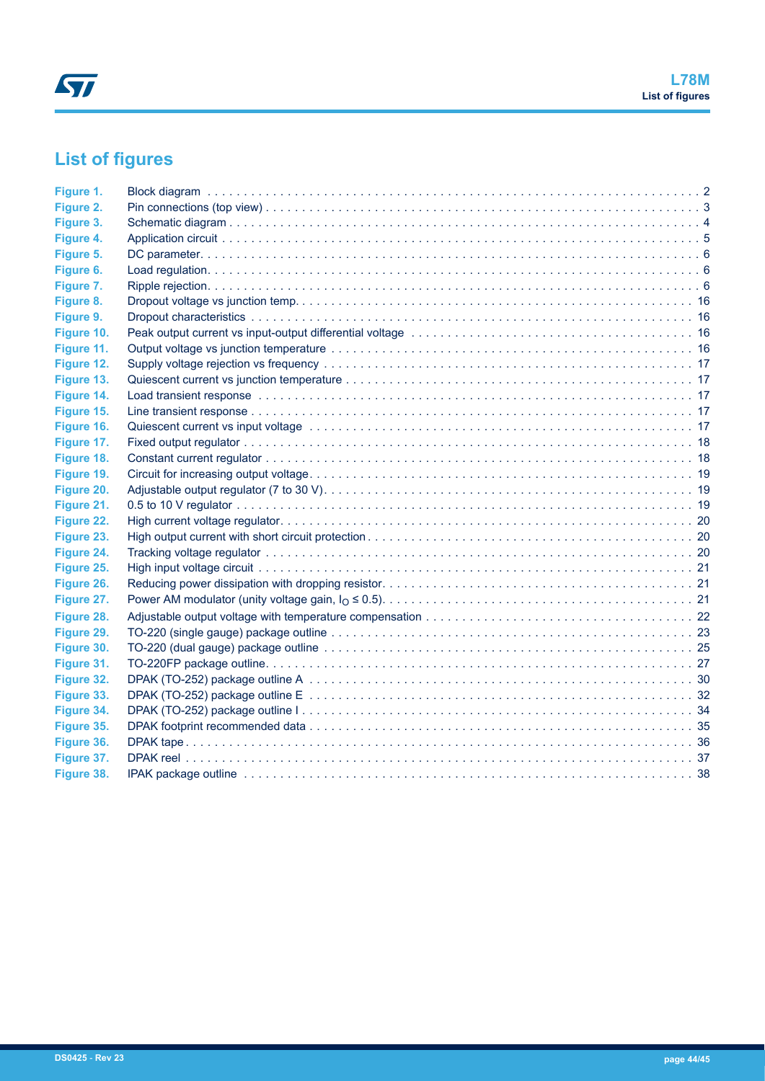# **List of figures**

| Figure 1.  |  |
|------------|--|
| Figure 2.  |  |
| Figure 3.  |  |
| Figure 4.  |  |
| Figure 5.  |  |
| Figure 6.  |  |
| Figure 7.  |  |
| Figure 8.  |  |
| Figure 9.  |  |
| Figure 10. |  |
| Figure 11. |  |
| Figure 12. |  |
| Figure 13. |  |
| Figure 14. |  |
| Figure 15. |  |
| Figure 16. |  |
| Figure 17. |  |
| Figure 18. |  |
| Figure 19. |  |
| Figure 20. |  |
| Figure 21. |  |
| Figure 22. |  |
| Figure 23. |  |
| Figure 24. |  |
| Figure 25. |  |
| Figure 26. |  |
| Figure 27. |  |
| Figure 28. |  |
| Figure 29. |  |
| Figure 30. |  |
| Figure 31. |  |
| Figure 32. |  |
| Figure 33. |  |
| Figure 34. |  |
| Figure 35. |  |
| Figure 36. |  |
| Figure 37. |  |
| Figure 38. |  |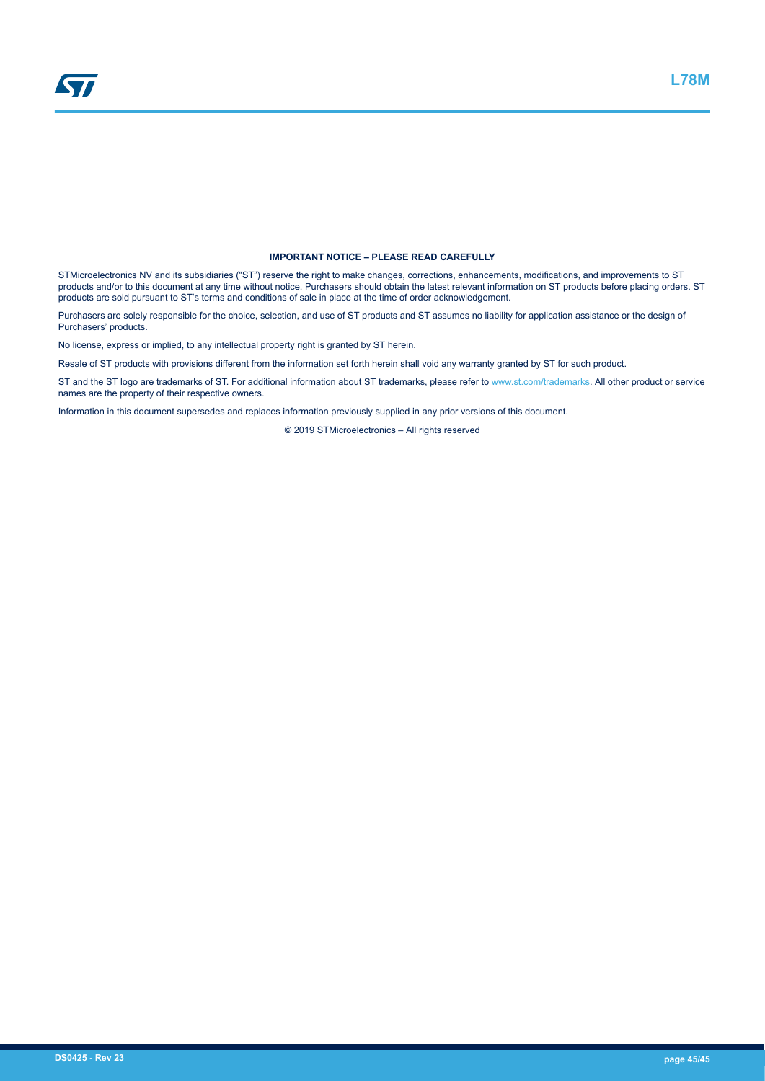#### **IMPORTANT NOTICE – PLEASE READ CAREFULLY**

STMicroelectronics NV and its subsidiaries ("ST") reserve the right to make changes, corrections, enhancements, modifications, and improvements to ST products and/or to this document at any time without notice. Purchasers should obtain the latest relevant information on ST products before placing orders. ST products are sold pursuant to ST's terms and conditions of sale in place at the time of order acknowledgement.

Purchasers are solely responsible for the choice, selection, and use of ST products and ST assumes no liability for application assistance or the design of Purchasers' products.

No license, express or implied, to any intellectual property right is granted by ST herein.

Resale of ST products with provisions different from the information set forth herein shall void any warranty granted by ST for such product.

ST and the ST logo are trademarks of ST. For additional information about ST trademarks, please refer to [www.st.com/trademarks](http://www.st.com/trademarks). All other product or service names are the property of their respective owners.

Information in this document supersedes and replaces information previously supplied in any prior versions of this document.

© 2019 STMicroelectronics – All rights reserved